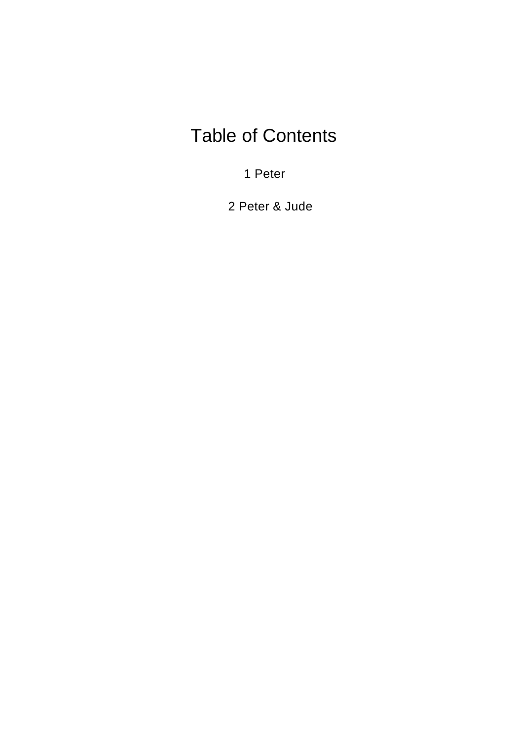### Table of Contents

1 Peter 

2 Peter & Jude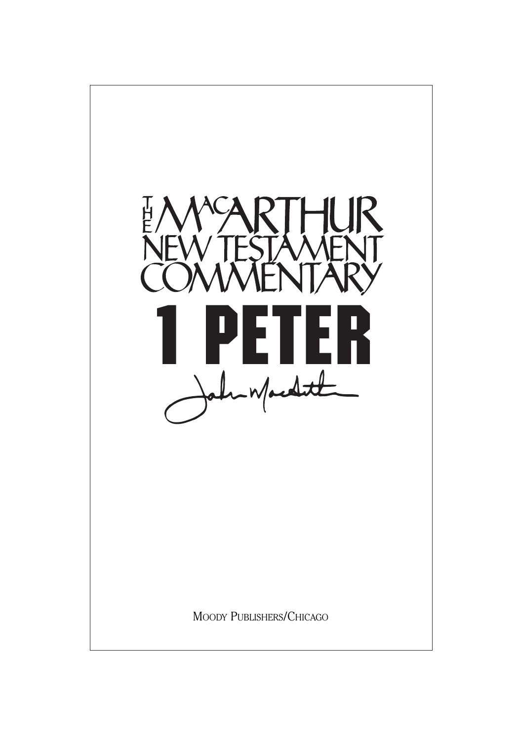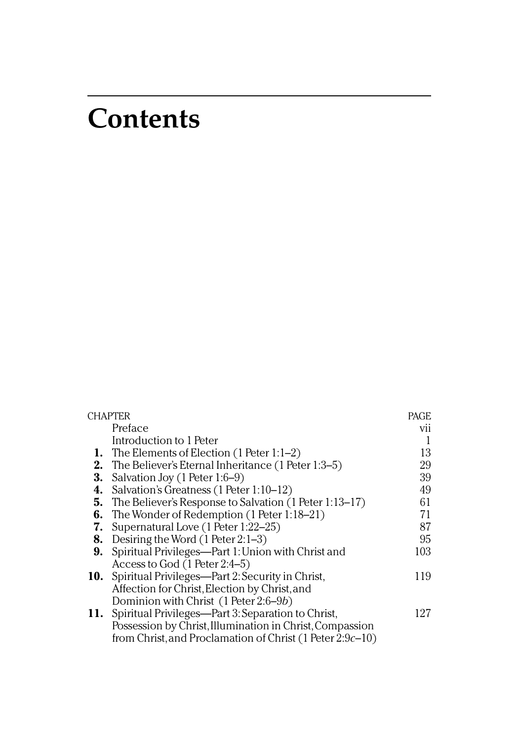# **Contents**

| <b>CHAPTER</b> |                                                                  | <b>PAGE</b> |
|----------------|------------------------------------------------------------------|-------------|
|                | Preface                                                          | vii         |
|                | Introduction to 1 Peter                                          | -1          |
|                | 1. The Elements of Election $(1$ Peter 1:1-2)                    | 13          |
|                | <b>2.</b> The Believer's Eternal Inheritance (1 Peter 1:3–5)     | 29          |
| 3.             | Salvation Joy (1 Peter 1:6–9)                                    | 39          |
| 4.             | Salvation's Greatness (1 Peter 1:10–12)                          | 49          |
|                | <b>5.</b> The Believer's Response to Salvation (1 Peter 1:13–17) | 61          |
|                | <b>6.</b> The Wonder of Redemption (1 Peter 1:18–21)             | 71          |
| 7.             | Supernatural Love (1 Peter 1:22-25)                              | 87          |
|                | 8. Desiring the Word $(1$ Peter 2:1-3)                           | 95          |
| 9.             | Spiritual Privileges—Part 1: Union with Christ and               | 103         |
|                | Access to God (1 Peter 2:4–5)                                    |             |
|                | <b>10.</b> Spiritual Privileges—Part 2: Security in Christ,      | 119         |
|                | Affection for Christ, Election by Christ, and                    |             |
|                | Dominion with Christ (1 Peter 2:6-9b)                            |             |
|                | 11. Spiritual Privileges—Part 3: Separation to Christ,           | 127         |
|                | Possession by Christ, Illumination in Christ, Compassion         |             |
|                | from Christ, and Proclamation of Christ $(1$ Peter 2:9 $c$ –10)  |             |
|                |                                                                  |             |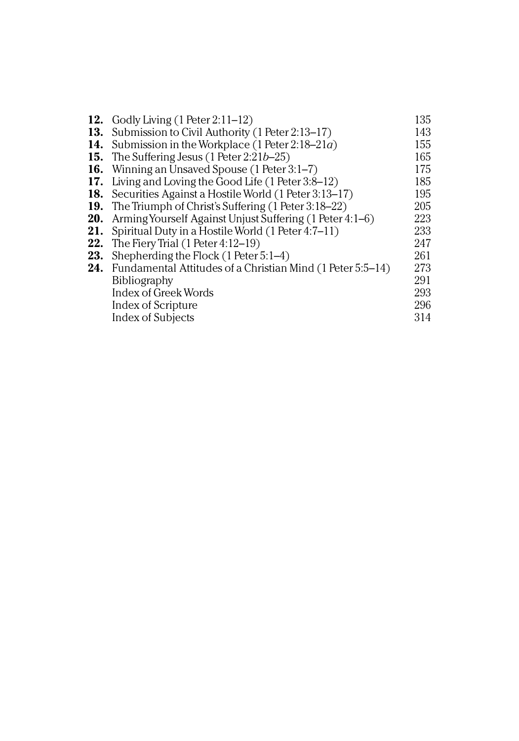|            | 12. Godly Living $(1$ Peter $2:11-12)$                         | 135 |
|------------|----------------------------------------------------------------|-----|
|            | 13. Submission to Civil Authority (1 Peter 2:13-17)            | 143 |
| 14.        | Submission in the Workplace (1 Peter 2:18–21 <i>a</i> )        | 155 |
| 15.        | The Suffering Jesus $(1$ Peter $2:21b-25)$                     | 165 |
|            | <b>16.</b> Winning an Unsaved Spouse (1 Peter 3:1–7)           | 175 |
| 17.        | Living and Loving the Good Life (1 Peter 3:8–12)               | 185 |
|            | 18. Securities Against a Hostile World (1 Peter 3:13–17)       | 195 |
| 19.        | The Triumph of Christ's Suffering (1 Peter 3:18–22)            | 205 |
| <b>20.</b> | Arming Yourself Against Unjust Suffering (1 Peter 4:1–6)       | 223 |
| 21.        | Spiritual Duty in a Hostile World (1 Peter 4:7-11)             | 233 |
| 22.        | The Fiery Trial (1 Peter 4:12-19)                              | 247 |
| 23.        | Shepherding the Flock (1 Peter 5:1-4)                          | 261 |
|            | 24. Fundamental Attitudes of a Christian Mind (1 Peter 5:5–14) | 273 |
|            | <b>Bibliography</b>                                            | 291 |
|            | Index of Greek Words                                           | 293 |
|            | <b>Index of Scripture</b>                                      | 296 |
|            | <b>Index of Subjects</b>                                       | 314 |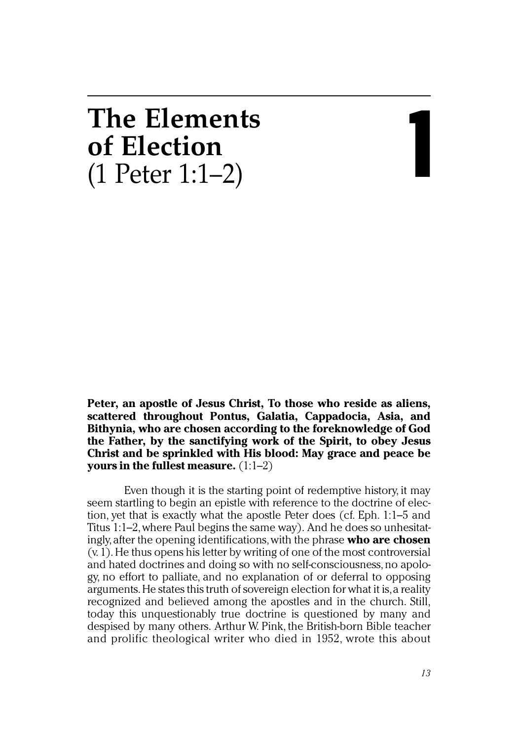## <span id="page-4-0"></span>**The Elements of Election**  $(1$  Peter 1:1–2)

**Peter, an apostle of Jesus Christ, To those who reside as aliens, scattered throughout Pontus, Galatia, Cappadocia, Asia, and Bithynia, who are chosen according to the foreknowledge of God the Father, by the sanctifying work of the Spirit, to obey Jesus Christ and be sprinkled with His blood: May grace and peace be yours in the fullest measure.** (1:1–2)

Even though it is the starting point of redemptive history, it may seem startling to begin an epistle with reference to the doctrine of election, yet that is exactly what the apostle Peter does (cf. Eph. 1:1–5 and Titus 1:1–2,where Paul begins the same way). And he does so unhesitatingly,after the opening identifications,with the phrase **who are chosen** (v. 1). He thus opens his letter by writing of one of the most controversial and hated doctrines and doing so with no self-consciousness, no apology, no effort to palliate, and no explanation of or deferral to opposing arguments. He states this truth of sovereign election for what it is,a reality recognized and believed among the apostles and in the church. Still, today this unquestionably true doctrine is questioned by many and despised by many others. Arthur W. Pink, the British-born Bible teacher and prolific theological writer who died in 1952, wrote this about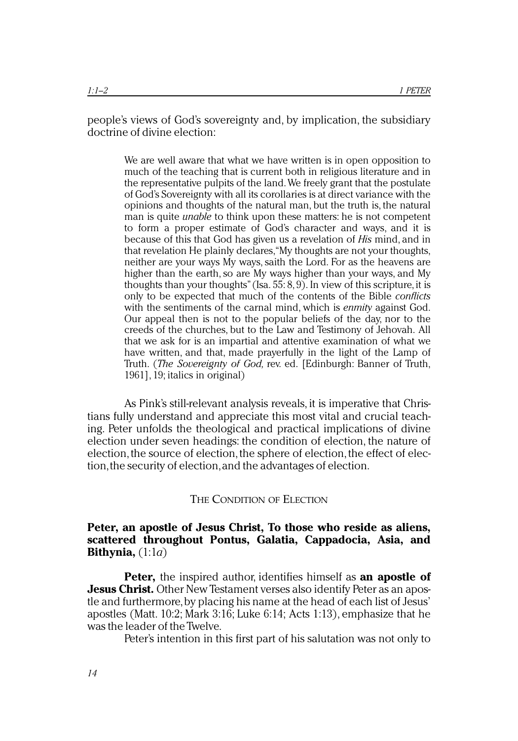people's views of God's sovereignty and, by implication, the subsidiary doctrine of divine election:

> We are well aware that what we have written is in open opposition to much of the teaching that is current both in religious literature and in the representative pulpits of the land.We freely grant that the postulate of God's Sovereignty with all its corollaries is at direct variance with the opinions and thoughts of the natural man, but the truth is, the natural man is quite *unable* to think upon these matters: he is not competent to form a proper estimate of God's character and ways, and it is because of this that God has given us a revelation of *His* mind, and in that revelation He plainly declares,"My thoughts are not your thoughts, neither are your ways My ways, saith the Lord. For as the heavens are higher than the earth, so are My ways higher than your ways, and My thoughts than your thoughts"(Isa. 55: 8, 9). In view of this scripture, it is only to be expected that much of the contents of the Bible *conflicts* with the sentiments of the carnal mind, which is *enmity* against God. Our appeal then is not to the popular beliefs of the day, nor to the creeds of the churches, but to the Law and Testimony of Jehovah. All that we ask for is an impartial and attentive examination of what we have written, and that, made prayerfully in the light of the Lamp of Truth. (*The Sovereignty of God,* rev. ed. [Edinburgh: Banner of Truth, 1961], 19; italics in original)

As Pink's still-relevant analysis reveals, it is imperative that Christians fully understand and appreciate this most vital and crucial teaching. Peter unfolds the theological and practical implications of divine election under seven headings: the condition of election, the nature of election, the source of election, the sphere of election, the effect of election,the security of election,and the advantages of election.

#### THE CONDITION OF ELECTION

#### **Peter, an apostle of Jesus Christ, To those who reside as aliens, scattered throughout Pontus, Galatia, Cappadocia, Asia, and Bithynia,** (1:1*a*)

**Peter,** the inspired author, identifies himself as **an apostle of Jesus Christ.** Other New Testament verses also identify Peter as an apostle and furthermore,by placing his name at the head of each list of Jesus' apostles (Matt. 10:2; Mark 3:16; Luke 6:14; Acts 1:13), emphasize that he was the leader of the Twelve.

Peter's intention in this first part of his salutation was not only to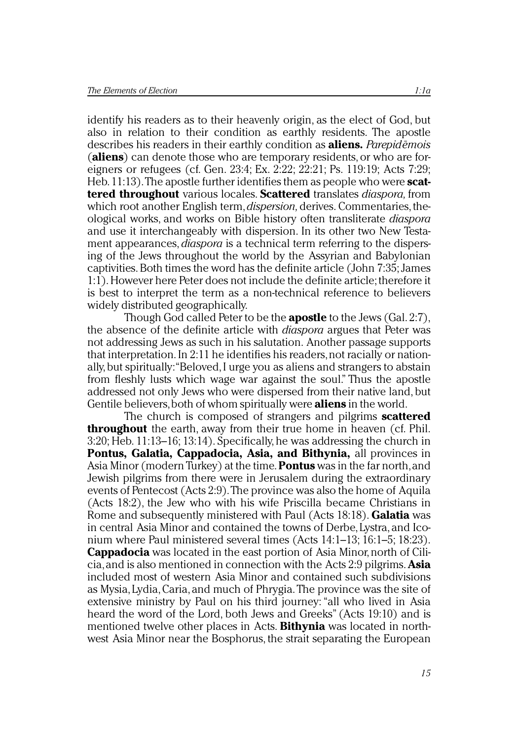identify his readers as to their heavenly origin, as the elect of God, but also in relation to their condition as earthly residents. The apostle describes his readers in their earthly condition as **aliens.** Parepidemois (**aliens**) can denote those who are temporary residents, or who are foreigners or refugees (cf. Gen. 23:4; Ex. 2:22; 22:21; Ps. 119:19; Acts 7:29; Heb. 11:13).The apostle further identifies them as people who were **scattered throughout** various locales. **Scattered** translates *diaspora,* from which root another English term,*dispersion,*derives. Commentaries, theological works, and works on Bible history often transliterate *diaspora* and use it interchangeably with dispersion. In its other two New Testament appearances, *diaspora* is a technical term referring to the dispersing of the Jews throughout the world by the Assyrian and Babylonian captivities. Both times the word has the definite article (John 7:35; James 1:1). However here Peter does not include the definite article; therefore it is best to interpret the term as a non-technical reference to believers widely distributed geographically.

Though God called Peter to be the **apostle** to the Jews (Gal. 2:7), the absence of the definite article with *diaspora* argues that Peter was not addressing Jews as such in his salutation. Another passage supports that interpretation. In 2:11 he identifies his readers,not racially or nationally,but spiritually:"Beloved,I urge you as aliens and strangers to abstain from fleshly lusts which wage war against the soul." Thus the apostle addressed not only Jews who were dispersed from their native land, but Gentile believers,both of whom spiritually were **aliens** in the world.

The church is composed of strangers and pilgrims **scattered throughout** the earth, away from their true home in heaven (cf. Phil. 3:20; Heb. 11:13–16; 13:14). Specifically, he was addressing the church in **Pontus, Galatia, Cappadocia, Asia, and Bithynia,** all provinces in Asia Minor (modern Turkey) at the time.**Pontus** was in the far north,and Jewish pilgrims from there were in Jerusalem during the extraordinary events of Pentecost (Acts 2:9).The province was also the home of Aquila (Acts 18:2), the Jew who with his wife Priscilla became Christians in Rome and subsequently ministered with Paul (Acts 18:18). **Galatia** was in central Asia Minor and contained the towns of Derbe, Lystra, and Iconium where Paul ministered several times (Acts 14:1–13; 16:1–5; 18:23). **Cappadocia** was located in the east portion of Asia Minor, north of Cilicia,and is also mentioned in connection with the Acts 2:9 pilgrims.**Asia** included most of western Asia Minor and contained such subdivisions as Mysia,Lydia, Caria, and much of Phrygia. The province was the site of extensive ministry by Paul on his third journey:"all who lived in Asia heard the word of the Lord, both Jews and Greeks" (Acts 19:10) and is mentioned twelve other places in Acts. **Bithynia** was located in northwest Asia Minor near the Bosphorus, the strait separating the European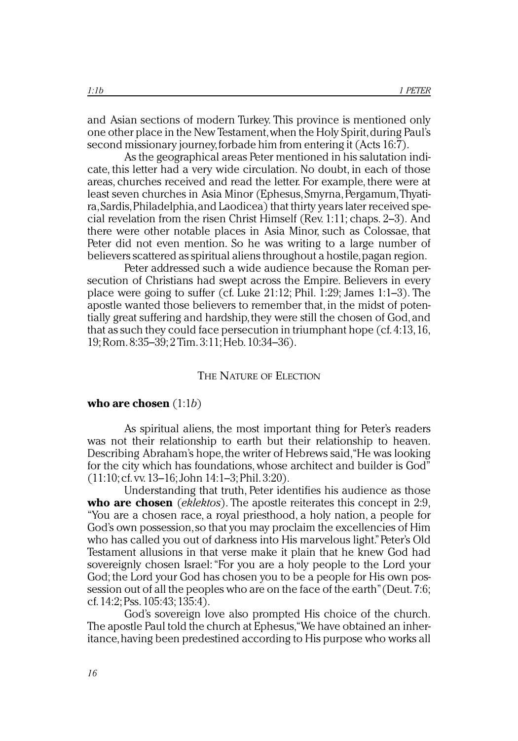and Asian sections of modern Turkey. This province is mentioned only one other place in the New Testament,when the Holy Spirit,during Paul's second missionary journey,forbade him from entering it (Acts 16:7).

As the geographical areas Peter mentioned in his salutation indicate, this letter had a very wide circulation. No doubt, in each of those areas, churches received and read the letter. For example, there were at least seven churches in Asia Minor (Ephesus, Smyrna, Pergamum, Thyatira,Sardis,Philadelphia,and Laodicea) that thirty years later received special revelation from the risen Christ Himself (Rev. 1:11; chaps. 2–3). And there were other notable places in Asia Minor, such as Colossae, that Peter did not even mention. So he was writing to a large number of believers scattered as spiritual aliens throughout a hostile,pagan region.

Peter addressed such a wide audience because the Roman persecution of Christians had swept across the Empire. Believers in every place were going to suffer (cf. Luke 21:12; Phil. 1:29; James 1:1–3). The apostle wanted those believers to remember that, in the midst of potentially great suffering and hardship, they were still the chosen of God, and that as such they could face persecution in triumphant hope (cf. 4:13,16, 19;Rom. 8:35–39;2 Tim. 3:11;Heb. 10:34–36).

#### THE NATURE OF ELECTION

#### **who are chosen** (1:1*b*)

As spiritual aliens, the most important thing for Peter's readers was not their relationship to earth but their relationship to heaven. Describing Abraham's hope, the writer of Hebrews said, "He was looking for the city which has foundations, whose architect and builder is God" (11:10;cf. vv. 13–16;John 14:1–3;Phil. 3:20).

Understanding that truth, Peter identifies his audience as those **who are chosen** (*eklektos*). The apostle reiterates this concept in 2:9, "You are a chosen race, a royal priesthood, a holy nation, a people for God's own possession,so that you may proclaim the excellencies of Him who has called you out of darkness into His marvelous light."Peter's Old Testament allusions in that verse make it plain that he knew God had sovereignly chosen Israel:"For you are a holy people to the Lord your God; the Lord your God has chosen you to be a people for His own possession out of all the peoples who are on the face of the earth"(Deut. 7:6; cf. 14:2;Pss. 105:43;135:4).

God's sovereign love also prompted His choice of the church. The apostle Paul told the church at Ephesus,"We have obtained an inheritance,having been predestined according to His purpose who works all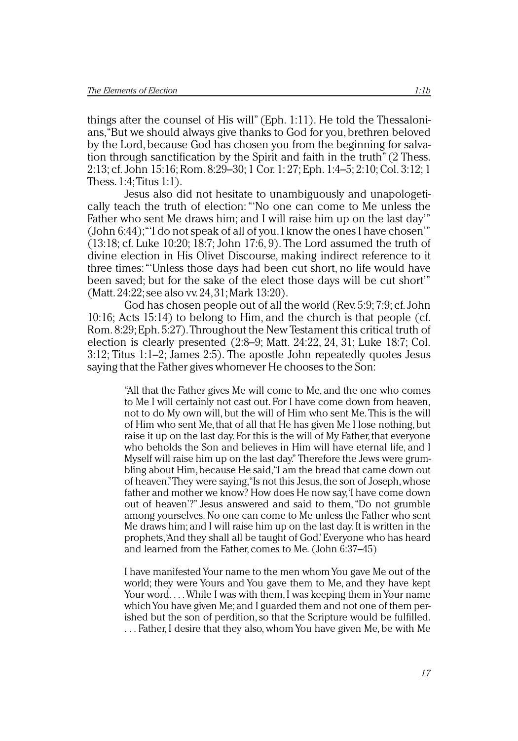things after the counsel of His will" (Eph. 1:11). He told the Thessalonians,"But we should always give thanks to God for you,brethren beloved by the Lord, because God has chosen you from the beginning for salvation through sanctification by the Spirit and faith in the truth" (2 Thess. 2:13; cf. John 15:16; Rom. 8:29–30; 1 Cor. 1: 27; Eph. 1:4–5; 2:10; Col. 3:12; 1 Thess. 1:4;Titus 1:1).

Jesus also did not hesitate to unambiguously and unapologetically teach the truth of election:"'No one can come to Me unless the Father who sent Me draws him; and I will raise him up on the last day'" (John 6:44);"'I do not speak of all of you. I know the ones I have chosen'" (13:18; cf. Luke 10:20; 18:7; John 17:6, 9). The Lord assumed the truth of divine election in His Olivet Discourse, making indirect reference to it three times:"'Unless those days had been cut short, no life would have been saved; but for the sake of the elect those days will be cut short'" (Matt. 24:22; see also vv. 24, 31; Mark 13:20).

God has chosen people out of all the world (Rev. 5:9; 7:9; cf. John 10:16; Acts 15:14) to belong to Him, and the church is that people (cf. Rom. 8:29;Eph. 5:27).Throughout the New Testament this critical truth of election is clearly presented (2:8–9; Matt. 24:22, 24, 31; Luke 18:7; Col. 3:12; Titus 1:1–2; James 2:5). The apostle John repeatedly quotes Jesus saying that the Father gives whomever He chooses to the Son:

> "All that the Father gives Me will come to Me, and the one who comes to Me I will certainly not cast out. For I have come down from heaven, not to do My own will, but the will of Him who sent Me. This is the will of Him who sent Me, that of all that He has given Me I lose nothing,but raise it up on the last day. For this is the will of My Father, that everyone who beholds the Son and believes in Him will have eternal life, and I Myself will raise him up on the last day." Therefore the Jews were grumbling about Him, because He said, "I am the bread that came down out of heaven."They were saying,"Is not this Jesus,the son of Joseph,whose father and mother we know? How does He now say,'I have come down out of heaven'?" Jesus answered and said to them,"Do not grumble among yourselves. No one can come to Me unless the Father who sent Me draws him; and I will raise him up on the last day. It is written in the prophets,'And they shall all be taught of God.' Everyone who has heard and learned from the Father, comes to Me. (John 6:37–45)

> I have manifested Your name to the men whom You gave Me out of the world; they were Yours and You gave them to Me, and they have kept Your word.... While I was with them, I was keeping them in Your name which You have given Me; and I guarded them and not one of them perished but the son of perdition, so that the Scripture would be fulfilled. ... Father, I desire that they also, whom You have given Me, be with Me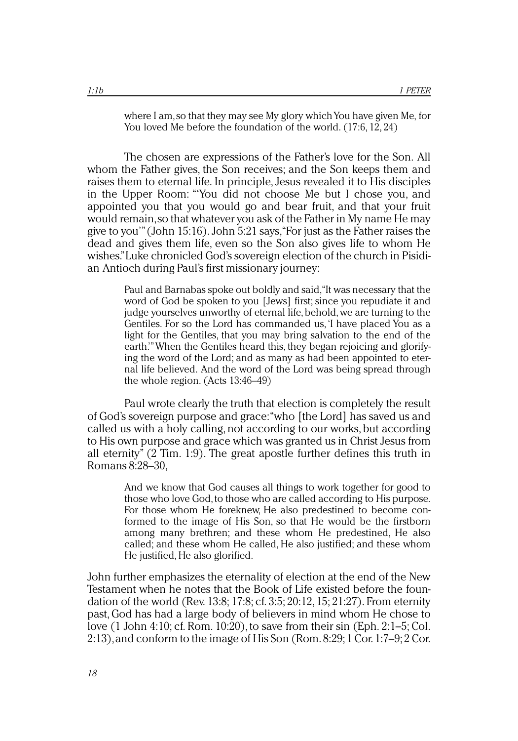where I am,so that they may see My glory which You have given Me, for You loved Me before the foundation of the world.  $(17:6, 12, 24)$ 

The chosen are expressions of the Father's love for the Son. All whom the Father gives, the Son receives; and the Son keeps them and raises them to eternal life. In principle, Jesus revealed it to His disciples in the Upper Room: "'You did not choose Me but I chose you, and appointed you that you would go and bear fruit, and that your fruit would remain,so that whatever you ask of the Father in My name He may give to you'"(John 15:16). John 5:21 says,"For just as the Father raises the dead and gives them life, even so the Son also gives life to whom He wishes."Luke chronicled God's sovereign election of the church in Pisidian Antioch during Paul's first missionary journey:

> Paul and Barnabas spoke out boldly and said,"It was necessary that the word of God be spoken to you [Jews] first; since you repudiate it and judge yourselves unworthy of eternal life, behold, we are turning to the Gentiles. For so the Lord has commanded us,'I have placed You as a light for the Gentiles, that you may bring salvation to the end of the earth.'"When the Gentiles heard this, they began rejoicing and glorifying the word of the Lord; and as many as had been appointed to eternal life believed. And the word of the Lord was being spread through the whole region. (Acts 13:46–49)

Paul wrote clearly the truth that election is completely the result of God's sovereign purpose and grace:"who [the Lord] has saved us and called us with a holy calling, not according to our works, but according to His own purpose and grace which was granted us in Christ Jesus from all eternity" (2 Tim. 1:9). The great apostle further defines this truth in Romans 8:28–30,

> And we know that God causes all things to work together for good to those who love God,to those who are called according to His purpose. For those whom He foreknew, He also predestined to become conformed to the image of His Son, so that He would be the firstborn among many brethren; and these whom He predestined, He also called; and these whom He called, He also justified; and these whom He justified, He also glorified.

John further emphasizes the eternality of election at the end of the New Testament when he notes that the Book of Life existed before the foundation of the world (Rev. 13:8; 17:8; cf. 3:5; 20:12, 15; 21:27). From eternity past, God has had a large body of believers in mind whom He chose to love (1 John 4:10; cf. Rom. 10:20), to save from their sin (Eph. 2:1–5; Col. 2:13),and conform to the image of His Son (Rom. 8:29; 1 Cor. 1:7–9;2 Cor.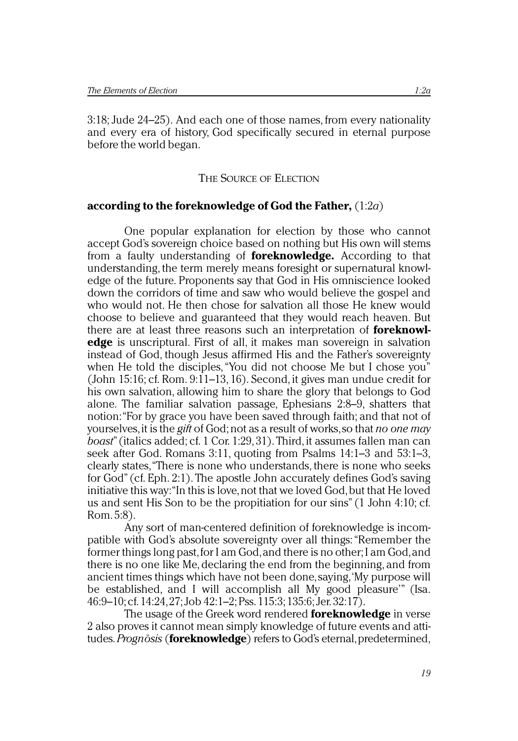3:18; Jude 24–25). And each one of those names, from every nationality and every era of history, God specifically secured in eternal purpose before the world began.

#### THE SOURCE OF ELECTION

#### **according to the foreknowledge of God the Father,** (1:2*a*)

One popular explanation for election by those who cannot accept God's sovereign choice based on nothing but His own will stems from a faulty understanding of **foreknowledge.** According to that understanding, the term merely means foresight or supernatural knowledge of the future. Proponents say that God in His omniscience looked down the corridors of time and saw who would believe the gospel and who would not. He then chose for salvation all those He knew would choose to believe and guaranteed that they would reach heaven. But there are at least three reasons such an interpretation of **foreknowledge** is unscriptural. First of all, it makes man sovereign in salvation instead of God, though Jesus affirmed His and the Father's sovereignty when He told the disciples,"You did not choose Me but I chose you" (John 15:16; cf. Rom. 9:11–13, 16). Second, it gives man undue credit for his own salvation, allowing him to share the glory that belongs to God alone. The familiar salvation passage, Ephesians 2:8–9, shatters that notion:"For by grace you have been saved through faith; and that not of yourselves,it is the *gift* of God; not as a result of works,so that *no one may boast*"(italics added; cf. 1 Cor. 1:29, 31). Third, it assumes fallen man can seek after God. Romans 3:11, quoting from Psalms 14:1–3 and 53:1–3, clearly states,"There is none who understands, there is none who seeks for God"(cf. Eph. 2:1). The apostle John accurately defines God's saving initiative this way:"In this is love,not that we loved God,but that He loved us and sent His Son to be the propitiation for our sins" (1 John 4:10; cf. Rom. 5:8).

Any sort of man-centered definition of foreknowledge is incompatible with God's absolute sovereignty over all things:"Remember the former things long past,for I am God,and there is no other;I am God,and there is no one like Me, declaring the end from the beginning, and from ancient times things which have not been done,saying,'My purpose will be established, and I will accomplish all My good pleasure'" (Isa. 46:9–10;cf. 14:24,27;Job 42:1–2;Pss. 115:3;135:6;Jer. 32:17).

The usage of the Greek word rendered **foreknowledge** in verse 2 also proves it cannot mean simply knowledge of future events and attitudes. *Prognōsis* (**foreknowledge**) refers to God's eternal, predetermined,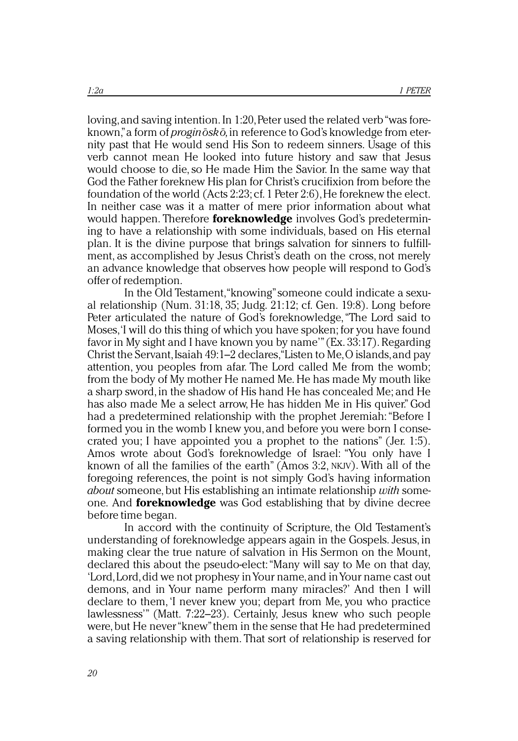loving, and saving intention. In 1:20, Peter used the related verb "was foreknown," a form of *progin*  $\bar{\omega}$ skō, in reference to God's knowledge from eternity past that He would send His Son to redeem sinners. Usage of this verb cannot mean He looked into future history and saw that Jesus would choose to die, so He made Him the Savior. In the same way that God the Father foreknew His plan for Christ's crucifixion from before the foundation of the world (Acts 2:23; cf. 1 Peter 2:6), He foreknew the elect. In neither case was it a matter of mere prior information about what would happen. Therefore **foreknowledge** involves God's predetermining to have a relationship with some individuals, based on His eternal plan. It is the divine purpose that brings salvation for sinners to fulfillment, as accomplished by Jesus Christ's death on the cross, not merely an advance knowledge that observes how people will respond to God's offer of redemption.

In the Old Testament,"knowing"someone could indicate a sexual relationship (Num. 31:18, 35; Judg. 21:12; cf. Gen. 19:8). Long before Peter articulated the nature of God's foreknowledge,"The Lord said to Moses,'I will do this thing of which you have spoken; for you have found favor in My sight and I have known you by name'"(Ex. 33:17). Regarding Christ the Servant, Isaiah 49:1–2 declares, "Listen to Me, O islands, and pay attention, you peoples from afar. The Lord called Me from the womb; from the body of My mother He named Me. He has made My mouth like a sharp sword,in the shadow of His hand He has concealed Me; and He has also made Me a select arrow, He has hidden Me in His quiver."God had a predetermined relationship with the prophet Jeremiah: "Before I formed you in the womb I knew you, and before you were born I consecrated you; I have appointed you a prophet to the nations" (Jer. 1:5). Amos wrote about God's foreknowledge of Israel: "You only have I known of all the families of the earth" (Amos 3:2, NKJV). With all of the foregoing references, the point is not simply God's having information *about* someone, but His establishing an intimate relationship *with* someone. And **foreknowledge** was God establishing that by divine decree before time began.

In accord with the continuity of Scripture, the Old Testament's understanding of foreknowledge appears again in the Gospels. Jesus, in making clear the true nature of salvation in His Sermon on the Mount, declared this about the pseudo-elect:"Many will say to Me on that day, 'Lord, Lord, did we not prophesy in Your name, and in Your name cast out demons, and in Your name perform many miracles?' And then I will declare to them, 'I never knew you; depart from Me, you who practice lawlessness'" (Matt. 7:22–23). Certainly, Jesus knew who such people were,but He never"knew"them in the sense that He had predetermined a saving relationship with them. That sort of relationship is reserved for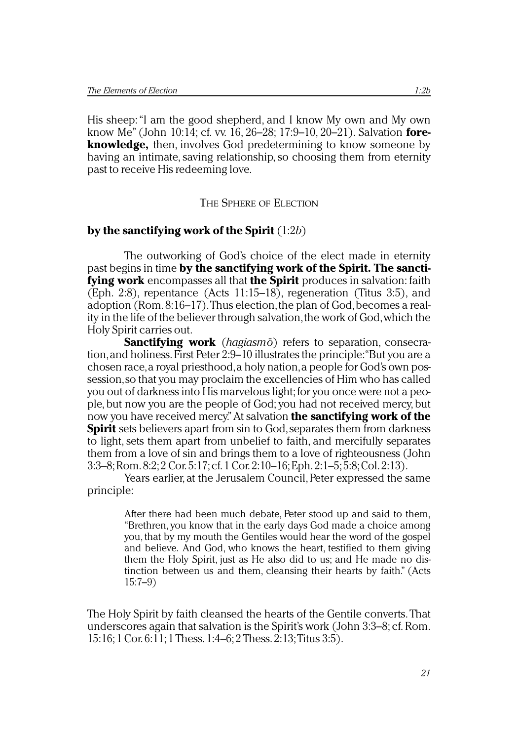His sheep:"I am the good shepherd, and I know My own and My own know Me" (John 10:14; cf. vv. 16, 26–28; 17:9–10, 20–21). Salvation **foreknowledge,** then, involves God predetermining to know someone by having an intimate, saving relationship, so choosing them from eternity past to receive His redeeming love.

THE SPHERE OF ELECTION

#### **by the sanctifying work of the Spirit** (1:2*b*)

The outworking of God's choice of the elect made in eternity past begins in time **by the sanctifying work of the Spirit. The sanctifying work** encompasses all that **the Spirit** produces in salvation: faith (Eph. 2:8), repentance (Acts 11:15–18), regeneration (Titus 3:5), and adoption (Rom. 8:16–17).Thus election,the plan of God,becomes a reality in the life of the believer through salvation,the work of God,which the Holy Spirit carries out.

**Sanctifying work** (*hagiasmō*) refers to separation, consecration,and holiness. First Peter 2:9–10 illustrates the principle:"But you are a chosen race,a royal priesthood,a holy nation,a people for God's own possession,so that you may proclaim the excellencies of Him who has called you out of darkness into His marvelous light; for you once were not a people,but now you are the people of God; you had not received mercy,but now you have received mercy."At salvation **the sanctifying work of the Spirit** sets believers apart from sin to God, separates them from darkness to light, sets them apart from unbelief to faith, and mercifully separates them from a love of sin and brings them to a love of righteousness (John 3:3–8;Rom.8:2;2 Cor.5:17;cf.1 Cor.2:10–16;Eph.2:1–5;5:8;Col.2:13).

Years earlier, at the Jerusalem Council, Peter expressed the same principle:

> After there had been much debate, Peter stood up and said to them, "Brethren, you know that in the early days God made a choice among you, that by my mouth the Gentiles would hear the word of the gospel and believe. And God, who knows the heart, testified to them giving them the Holy Spirit, just as He also did to us; and He made no distinction between us and them, cleansing their hearts by faith." (Acts 15:7–9)

The Holy Spirit by faith cleansed the hearts of the Gentile converts. That underscores again that salvation is the Spirit's work (John 3:3–8; cf. Rom. 15:16;1 Cor. 6:11;1 Thess. 1:4–6;2 Thess. 2:13;Titus 3:5).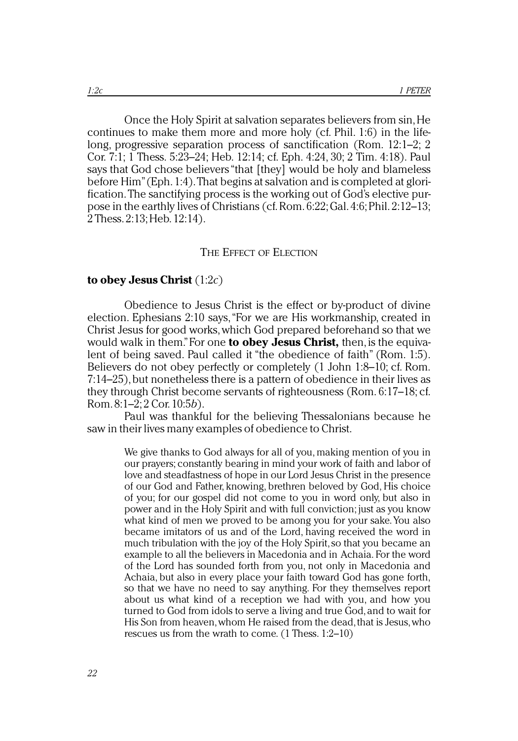Once the Holy Spirit at salvation separates believers from sin,He continues to make them more and more holy (cf. Phil. 1:6) in the lifelong, progressive separation process of sanctification (Rom. 12:1–2; 2 Cor. 7:1; 1 Thess. 5:23–24; Heb. 12:14; cf. Eph. 4:24, 30; 2 Tim. 4:18). Paul says that God chose believers "that [they] would be holy and blameless before Him"(Eph. 1:4).That begins at salvation and is completed at glorification.The sanctifying process is the working out of God's elective purpose in the earthly lives of Christians (cf. Rom. 6:22; Gal. 4:6; Phil. 2:12–13; 2 Thess. 2:13;Heb. 12:14).

#### THE EFFECT OF ELECTION

#### **to obey Jesus Christ** (1:2*c*)

Obedience to Jesus Christ is the effect or by-product of divine election. Ephesians 2:10 says,"For we are His workmanship, created in Christ Jesus for good works,which God prepared beforehand so that we would walk in them."For one **to obey Jesus Christ,** then, is the equivalent of being saved. Paul called it "the obedience of faith" (Rom. 1:5). Believers do not obey perfectly or completely (1 John 1:8–10; cf. Rom. 7:14–25),but nonetheless there is a pattern of obedience in their lives as they through Christ become servants of righteousness (Rom. 6:17–18; cf. Rom. 8:1–2;2 Cor. 10:5*b*).

Paul was thankful for the believing Thessalonians because he saw in their lives many examples of obedience to Christ.

> We give thanks to God always for all of you, making mention of you in our prayers; constantly bearing in mind your work of faith and labor of love and steadfastness of hope in our Lord Jesus Christ in the presence of our God and Father, knowing, brethren beloved by God, His choice of you; for our gospel did not come to you in word only, but also in power and in the Holy Spirit and with full conviction; just as you know what kind of men we proved to be among you for your sake. You also became imitators of us and of the Lord, having received the word in much tribulation with the joy of the Holy Spirit, so that you became an example to all the believers in Macedonia and in Achaia. For the word of the Lord has sounded forth from you, not only in Macedonia and Achaia, but also in every place your faith toward God has gone forth, so that we have no need to say anything. For they themselves report about us what kind of a reception we had with you, and how you turned to God from idols to serve a living and true God, and to wait for His Son from heaven, whom He raised from the dead, that is Jesus, who rescues us from the wrath to come. (1 Thess. 1:2–10)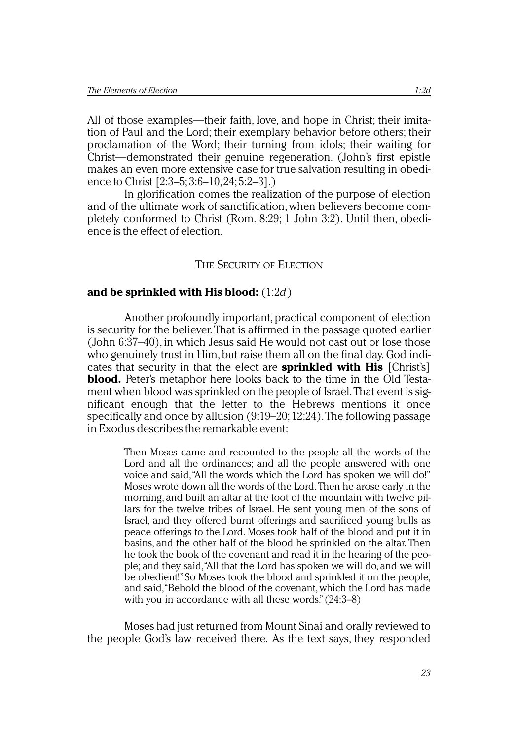All of those examples—their faith, love, and hope in Christ; their imitation of Paul and the Lord; their exemplary behavior before others; their proclamation of the Word; their turning from idols; their waiting for Christ—demonstrated their genuine regeneration. (John's first epistle makes an even more extensive case for true salvation resulting in obedience to Christ [2:3–5;3:6–10,24;5:2–3].)

In glorification comes the realization of the purpose of election and of the ultimate work of sanctification,when believers become completely conformed to Christ (Rom. 8:29; 1 John 3:2). Until then, obedience is the effect of election.

#### THE SECURITY OF ELECTION

#### **and be sprinkled with His blood:** (1:2*d*)

Another profoundly important, practical component of election is security for the believer. That is affirmed in the passage quoted earlier (John 6:37–40), in which Jesus said He would not cast out or lose those who genuinely trust in Him, but raise them all on the final day. God indicates that security in that the elect are **sprinkled with His** [Christ's] **blood.** Peter's metaphor here looks back to the time in the Old Testament when blood was sprinkled on the people of Israel.That event is significant enough that the letter to the Hebrews mentions it once specifically and once by allusion (9:19–20; 12:24).The following passage in Exodus describes the remarkable event:

> Then Moses came and recounted to the people all the words of the Lord and all the ordinances; and all the people answered with one voice and said,"All the words which the Lord has spoken we will do!" Moses wrote down all the words of the Lord.Then he arose early in the morning, and built an altar at the foot of the mountain with twelve pillars for the twelve tribes of Israel. He sent young men of the sons of Israel, and they offered burnt offerings and sacrificed young bulls as peace offerings to the Lord. Moses took half of the blood and put it in basins, and the other half of the blood he sprinkled on the altar. Then he took the book of the covenant and read it in the hearing of the people; and they said,"All that the Lord has spoken we will do, and we will be obedient!"So Moses took the blood and sprinkled it on the people, and said,"Behold the blood of the covenant,which the Lord has made with you in accordance with all these words." (24:3–8)

Moses had just returned from Mount Sinai and orally reviewed to the people God's law received there. As the text says, they responded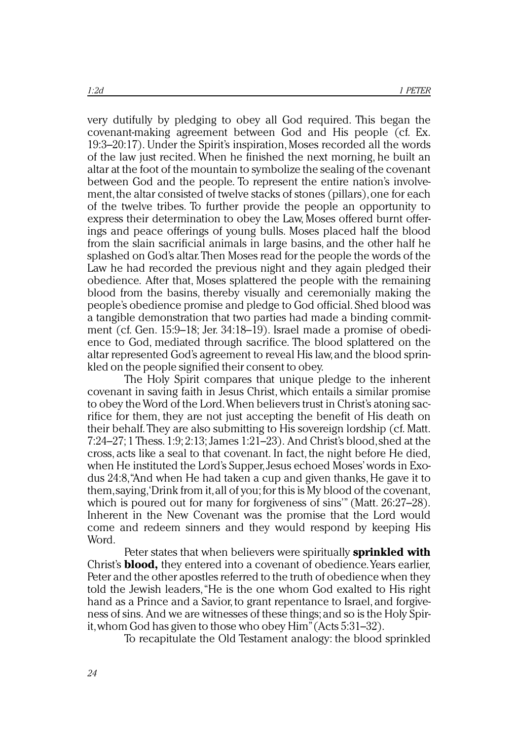very dutifully by pledging to obey all God required. This began the covenant-making agreement between God and His people (cf. Ex. 19:3–20:17). Under the Spirit's inspiration, Moses recorded all the words of the law just recited. When he finished the next morning, he built an altar at the foot of the mountain to symbolize the sealing of the covenant between God and the people. To represent the entire nation's involvement, the altar consisted of twelve stacks of stones (pillars), one for each of the twelve tribes. To further provide the people an opportunity to express their determination to obey the Law, Moses offered burnt offerings and peace offerings of young bulls. Moses placed half the blood from the slain sacrificial animals in large basins, and the other half he splashed on God's altar.Then Moses read for the people the words of the Law he had recorded the previous night and they again pledged their obedience. After that, Moses splattered the people with the remaining blood from the basins, thereby visually and ceremonially making the people's obedience promise and pledge to God official. Shed blood was a tangible demonstration that two parties had made a binding commitment (cf. Gen. 15:9–18; Jer. 34:18–19). Israel made a promise of obedience to God, mediated through sacrifice. The blood splattered on the altar represented God's agreement to reveal His law,and the blood sprinkled on the people signified their consent to obey.

The Holy Spirit compares that unique pledge to the inherent covenant in saving faith in Jesus Christ, which entails a similar promise to obey the Word of the Lord.When believers trust in Christ's atoning sacrifice for them, they are not just accepting the benefit of His death on their behalf. They are also submitting to His sovereign lordship (cf. Matt. 7:24–27; 1 Thess. 1:9; 2:13; James 1:21–23). And Christ's blood,shed at the cross, acts like a seal to that covenant. In fact, the night before He died, when He instituted the Lord's Supper,Jesus echoed Moses'words in Exodus 24:8,"And when He had taken a cup and given thanks, He gave it to them,saying,'Drink from it,all of you;for this is My blood of the covenant, which is poured out for many for forgiveness of sins'" (Matt. 26:27–28). Inherent in the New Covenant was the promise that the Lord would come and redeem sinners and they would respond by keeping His Word.

Peter states that when believers were spiritually **sprinkled with** Christ's **blood,** they entered into a covenant of obedience.Years earlier, Peter and the other apostles referred to the truth of obedience when they told the Jewish leaders,"He is the one whom God exalted to His right hand as a Prince and a Savior, to grant repentance to Israel, and forgiveness of sins. And we are witnesses of these things; and so is the Holy Spirit,whom God has given to those who obey Him"(Acts 5:31–32).

To recapitulate the Old Testament analogy: the blood sprinkled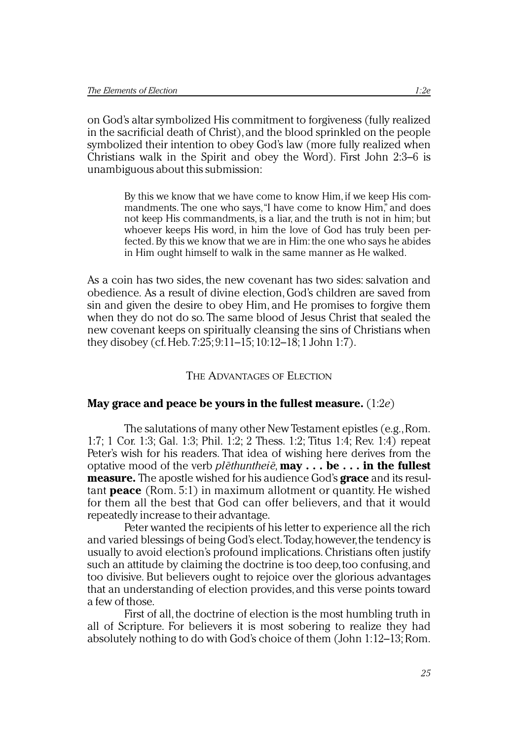on God's altar symbolized His commitment to forgiveness (fully realized in the sacrificial death of Christ), and the blood sprinkled on the people symbolized their intention to obey God's law (more fully realized when Christians walk in the Spirit and obey the Word). First John 2:3–6 is unambiguous about this submission:

> By this we know that we have come to know Him, if we keep His commandments. The one who says,"I have come to know Him," and does not keep His commandments, is a liar, and the truth is not in him; but whoever keeps His word, in him the love of God has truly been perfected. By this we know that we are in Him: the one who says he abides in Him ought himself to walk in the same manner as He walked.

As a coin has two sides, the new covenant has two sides: salvation and obedience. As a result of divine election, God's children are saved from sin and given the desire to obey Him, and He promises to forgive them when they do not do so. The same blood of Jesus Christ that sealed the new covenant keeps on spiritually cleansing the sins of Christians when they disobey (cf. Heb. 7:25;9:11–15;10:12–18;1 John 1:7).

#### THE ADVANTAGES OF ELECTION

#### **May grace and peace be yours in the fullest measure.** (1:2*e*)

The salutations of many other New Testament epistles (e.g.,Rom. 1:7; 1 Cor. 1:3; Gal. 1:3; Phil. 1:2; 2 Thess. 1:2; Titus 1:4; Rev. 1:4) repeat Peter's wish for his readers. That idea of wishing here derives from the optative mood of the verb *plēthuntheiē*, **may** . . . be . . . in the fullest **measure.** The apostle wished for his audience God's **grace** and its resultant **peace** (Rom. 5:1) in maximum allotment or quantity. He wished for them all the best that God can offer believers, and that it would repeatedly increase to their advantage.

Peter wanted the recipients of his letter to experience all the rich and varied blessings of being God's elect.Today,however,the tendency is usually to avoid election's profound implications. Christians often justify such an attitude by claiming the doctrine is too deep, too confusing, and too divisive. But believers ought to rejoice over the glorious advantages that an understanding of election provides, and this verse points toward a few of those.

First of all, the doctrine of election is the most humbling truth in all of Scripture. For believers it is most sobering to realize they had absolutely nothing to do with God's choice of them (John 1:12–13; Rom.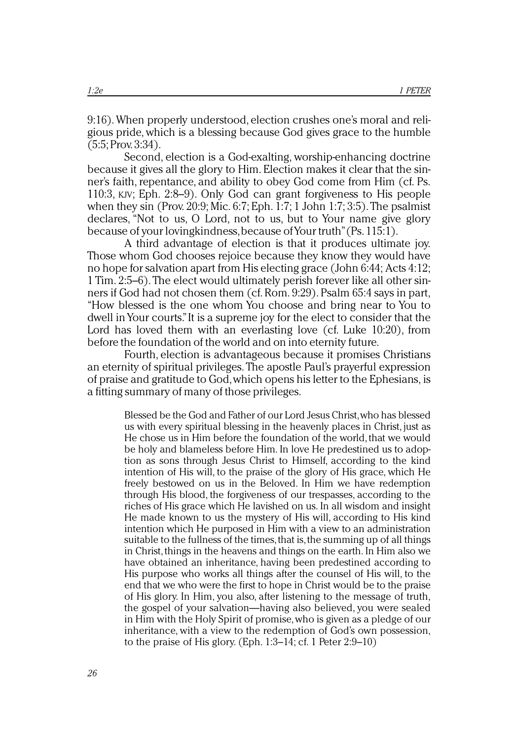9:16).When properly understood, election crushes one's moral and religious pride, which is a blessing because God gives grace to the humble (5:5;Prov. 3:34).

Second, election is a God-exalting, worship-enhancing doctrine because it gives all the glory to Him. Election makes it clear that the sinner's faith, repentance, and ability to obey God come from Him (cf. Ps. 110:3, KJV; Eph. 2:8–9). Only God can grant forgiveness to His people when they sin (Prov. 20:9; Mic. 6:7; Eph. 1:7; 1 John 1:7; 3:5). The psalmist declares, "Not to us, O Lord, not to us, but to Your name give glory because of your lovingkindness,because of Your truth"(Ps. 115:1).

A third advantage of election is that it produces ultimate joy. Those whom God chooses rejoice because they know they would have no hope for salvation apart from His electing grace (John 6:44; Acts 4:12; 1 Tim. 2:5–6). The elect would ultimately perish forever like all other sinners if God had not chosen them (cf. Rom. 9:29). Psalm 65:4 says in part, "How blessed is the one whom You choose and bring near to You to dwell in Your courts."It is a supreme joy for the elect to consider that the Lord has loved them with an everlasting love (cf. Luke 10:20), from before the foundation of the world and on into eternity future.

Fourth, election is advantageous because it promises Christians an eternity of spiritual privileges. The apostle Paul's prayerful expression of praise and gratitude to God,which opens his letter to the Ephesians, is a fitting summary of many of those privileges.

> Blessed be the God and Father of our Lord Jesus Christ,who has blessed us with every spiritual blessing in the heavenly places in Christ, just as He chose us in Him before the foundation of the world, that we would be holy and blameless before Him. In love He predestined us to adoption as sons through Jesus Christ to Himself, according to the kind intention of His will, to the praise of the glory of His grace, which He freely bestowed on us in the Beloved. In Him we have redemption through His blood, the forgiveness of our trespasses, according to the riches of His grace which He lavished on us. In all wisdom and insight He made known to us the mystery of His will, according to His kind intention which He purposed in Him with a view to an administration suitable to the fullness of the times, that is, the summing up of all things in Christ, things in the heavens and things on the earth. In Him also we have obtained an inheritance, having been predestined according to His purpose who works all things after the counsel of His will, to the end that we who were the first to hope in Christ would be to the praise of His glory. In Him, you also, after listening to the message of truth, the gospel of your salvation—having also believed, you were sealed in Him with the Holy Spirit of promise,who is given as a pledge of our inheritance, with a view to the redemption of God's own possession, to the praise of His glory. (Eph. 1:3–14; cf. 1 Peter 2:9–10)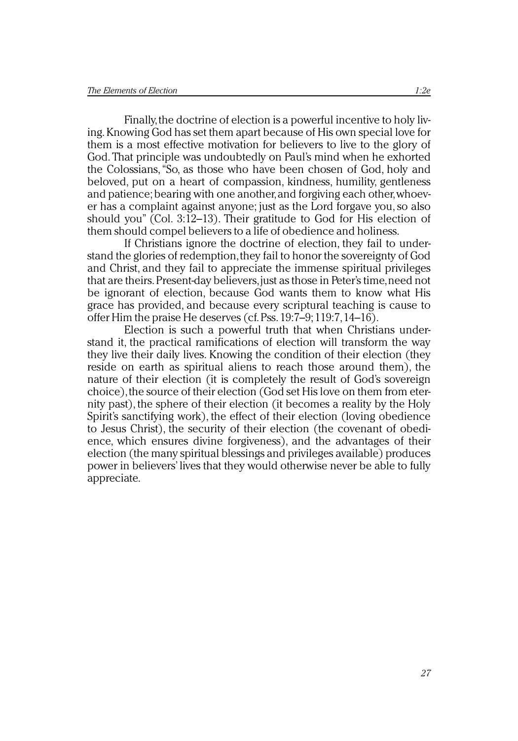Finally,the doctrine of election is a powerful incentive to holy living. Knowing God has set them apart because of His own special love for them is a most effective motivation for believers to live to the glory of God. That principle was undoubtedly on Paul's mind when he exhorted the Colossians,"So, as those who have been chosen of God, holy and beloved, put on a heart of compassion, kindness, humility, gentleness and patience;bearing with one another,and forgiving each other,whoever has a complaint against anyone; just as the Lord forgave you, so also should you" (Col. 3:12–13). Their gratitude to God for His election of them should compel believers to a life of obedience and holiness.

If Christians ignore the doctrine of election, they fail to understand the glories of redemption,they fail to honor the sovereignty of God and Christ, and they fail to appreciate the immense spiritual privileges that are theirs. Present-day believers, just as those in Peter's time, need not be ignorant of election, because God wants them to know what His grace has provided, and because every scriptural teaching is cause to offer Him the praise He deserves (cf. Pss. 19:7–9;119:7,14–16).

Election is such a powerful truth that when Christians understand it, the practical ramifications of election will transform the way they live their daily lives. Knowing the condition of their election (they reside on earth as spiritual aliens to reach those around them), the nature of their election (it is completely the result of God's sovereign choice), the source of their election (God set His love on them from eternity past), the sphere of their election (it becomes a reality by the Holy Spirit's sanctifying work), the effect of their election (loving obedience to Jesus Christ), the security of their election (the covenant of obedience, which ensures divine forgiveness), and the advantages of their election (the many spiritual blessings and privileges available) produces power in believers'lives that they would otherwise never be able to fully appreciate.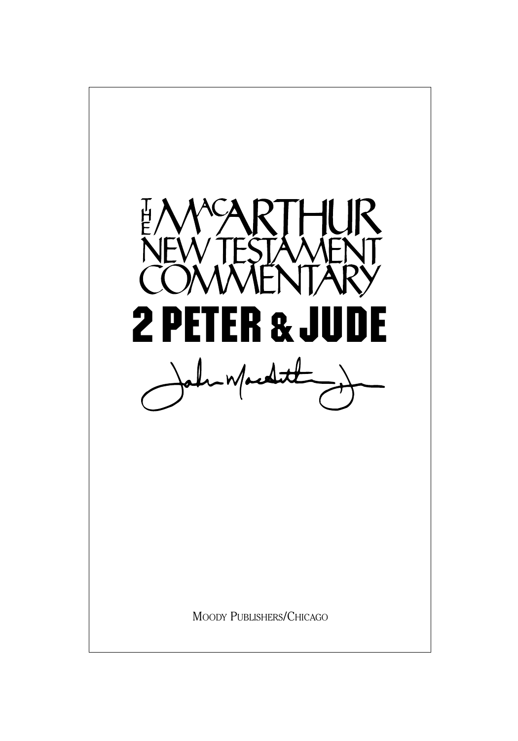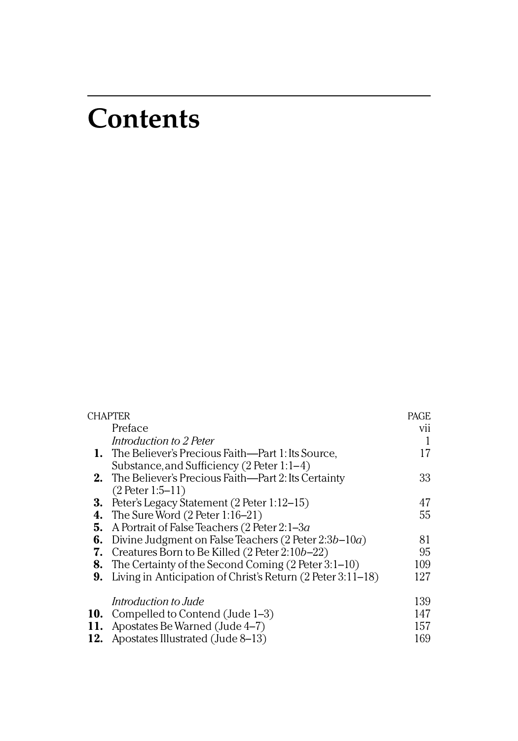# **Contents**

| <b>CHAPTER</b> |                                                             | <b>PAGE</b> |
|----------------|-------------------------------------------------------------|-------------|
|                | Preface                                                     | vii         |
|                | Introduction to 2 Peter                                     |             |
|                | <b>1.</b> The Believer's Precious Faith—Part 1: Its Source, | 17          |
|                | Substance, and Sufficiency (2 Peter 1:1–4)                  |             |
|                | 2. The Believer's Precious Faith-Part 2: Its Certainty      | 33          |
|                | $(2$ Peter 1:5–11)                                          |             |
|                | <b>3.</b> Peter's Legacy Statement (2 Peter 1:12-15)        | 47          |
| 4.             | The Sure Word $(2$ Peter $1:16-21)$                         | 55          |
| 5.             | A Portrait of False Teachers (2 Peter 2:1-3a                |             |
| 6.             | Divine Judgment on False Teachers (2 Peter 2:3b-10a)        | 81          |
|                | <b>7.</b> Creatures Born to Be Killed (2 Peter 2:10b-22)    | 95          |
| 8.             | The Certainty of the Second Coming $(2$ Peter 3:1–10)       | 109         |
| 9.             | Living in Anticipation of Christ's Return (2 Peter 3:11–18) | 127         |
|                | Introduction to Jude                                        | 139         |
| 10.            | Compelled to Contend (Jude 1-3)                             | 147         |
| 11.            | Apostates Be Warned (Jude 4-7)                              | 157         |
| 12.            | Apostates Illustrated (Jude 8-13)                           | 169         |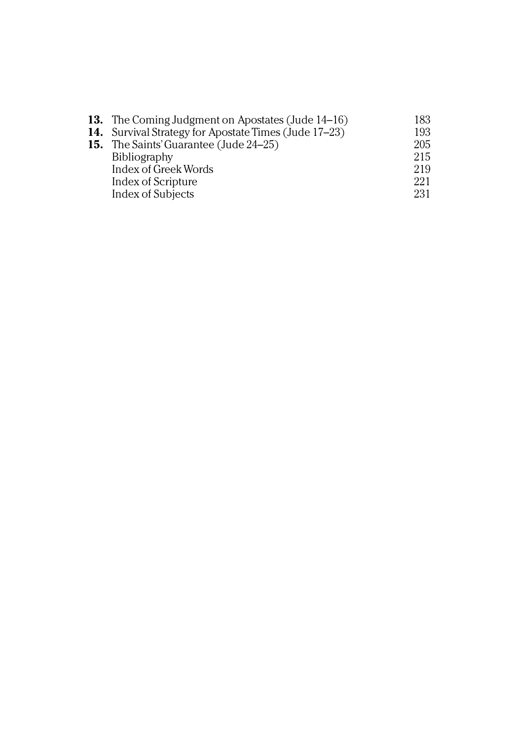| <b>13.</b> The Coming Judgment on Apostates (Jude 14–16)     | 183 |
|--------------------------------------------------------------|-----|
| <b>14.</b> Survival Strategy for Apostate Times (Jude 17–23) | 193 |
| <b>15.</b> The Saints' Guarantee (Jude 24–25)                | 205 |
| Bibliography                                                 | 215 |
| <b>Index of Greek Words</b>                                  | 219 |
| Index of Scripture                                           | 221 |
| Index of Subjects                                            | 231 |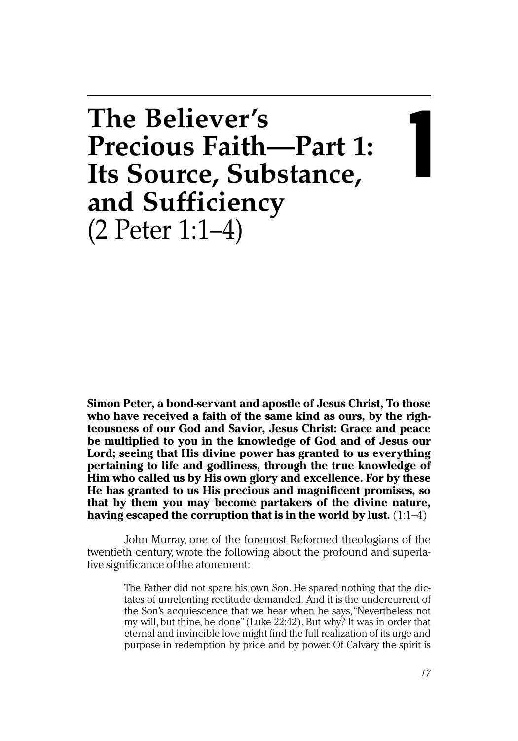<span id="page-22-0"></span>**The Believer's Precious Faith—Part 1:**  The Believer's<br>Precious Faith—Part 1:<br>Its Source, Substance, **and Sufficiency** (2 Peter 1:1–4)

**Simon Peter, a bond-servant and apostle of Jesus Christ, To those who have received a faith of the same kind as ours, by the righteousness of our God and Savior, Jesus Christ: Grace and peace be multiplied to you in the knowledge of God and of Jesus our Lord; seeing that His divine power has granted to us everything pertaining to life and godliness, through the true knowledge of Him who called us by His own glory and excellence. For by these He has granted to us His precious and magnificent promises, so that by them you may become partakers of the divine nature, having escaped the corruption that is in the world by lust.**  $(1:1-4)$ 

John Murray, one of the foremost Reformed theologians of the twentieth century, wrote the following about the profound and superlative significance of the atonement:

> The Father did not spare his own Son. He spared nothing that the dictates of unrelenting rectitude demanded. And it is the undercurrent of the Son's acquiescence that we hear when he says,"Nevertheless not my will, but thine, be done"(Luke 22:42). But why? It was in order that eternal and invincible love might find the full realization of its urge and purpose in redemption by price and by power. Of Calvary the spirit is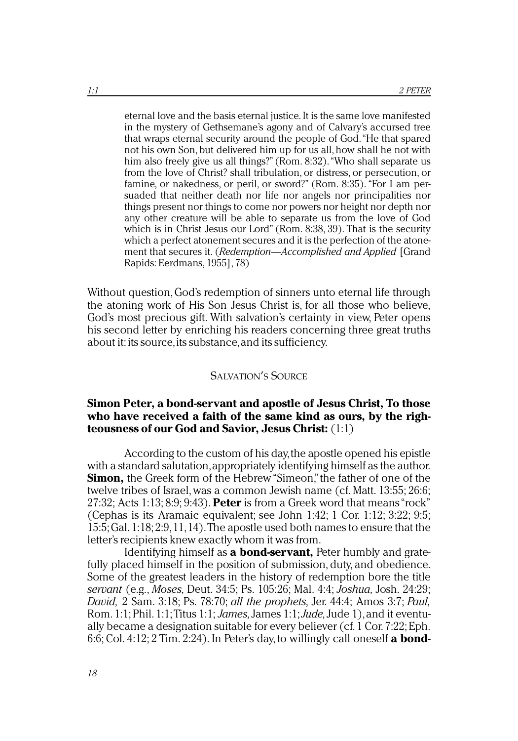eternal love and the basis eternal justice. It is the same love manifested in the mystery of Gethsemane's agony and of Calvary's accursed tree that wraps eternal security around the people of God."He that spared not his own Son, but delivered him up for us all, how shall he not with him also freely give us all things?" (Rom. 8:32). "Who shall separate us from the love of Christ? shall tribulation, or distress, or persecution, or famine, or nakedness, or peril, or sword?" (Rom. 8:35). "For I am persuaded that neither death nor life nor angels nor principalities nor things present nor things to come nor powers nor height nor depth nor any other creature will be able to separate us from the love of God which is in Christ Jesus our Lord" (Rom. 8:38, 39). That is the security which a perfect atonement secures and it is the perfection of the atonement that secures it. (*Redemption—Accomplished and Applied* [Grand Rapids: Eerdmans, 1955], 78)

Without question, God's redemption of sinners unto eternal life through the atoning work of His Son Jesus Christ is, for all those who believe, God's most precious gift. With salvation's certainty in view, Peter opens his second letter by enriching his readers concerning three great truths about it: its source, its substance, and its sufficiency.

#### SALVATION'S SOURCE

#### **Simon Peter, a bond-servant and apostle of Jesus Christ, To those who have received a faith of the same kind as ours, by the righteousness of our God and Savior, Jesus Christ:** (1:1)

According to the custom of his day,the apostle opened his epistle with a standard salutation,appropriately identifying himself as the author. **Simon,** the Greek form of the Hebrew "Simeon," the father of one of the twelve tribes of Israel, was a common Jewish name (cf. Matt. 13:55; 26:6; 27:32; Acts 1:13; 8:9; 9:43). **Peter** is from a Greek word that means "rock" (Cephas is its Aramaic equivalent; see John 1:42; 1 Cor. 1:12; 3:22; 9:5; 15:5; Gal. 1:18; 2:9,11,14).The apostle used both names to ensure that the letter's recipients knew exactly whom it was from.

Identifying himself as **a bond-servant,** Peter humbly and gratefully placed himself in the position of submission, duty, and obedience. Some of the greatest leaders in the history of redemption bore the title *servant* (e.g., *Moses,* Deut. 34:5; Ps. 105:26; Mal. 4:4; *Joshua,* Josh. 24:29; *David,* 2 Sam. 3:18; Ps. 78:70; *all the prophets,* Jer. 44:4; Amos 3:7; *Paul,* Rom. 1:1; Phil. 1:1;Titus 1:1; *James,*James 1:1;*Jude,*Jude 1),and it eventually became a designation suitable for every believer (cf. 1 Cor. 7:22; Eph. 6:6; Col. 4:12; 2 Tim. 2:24). In Peter's day, to willingly call oneself **a bond-**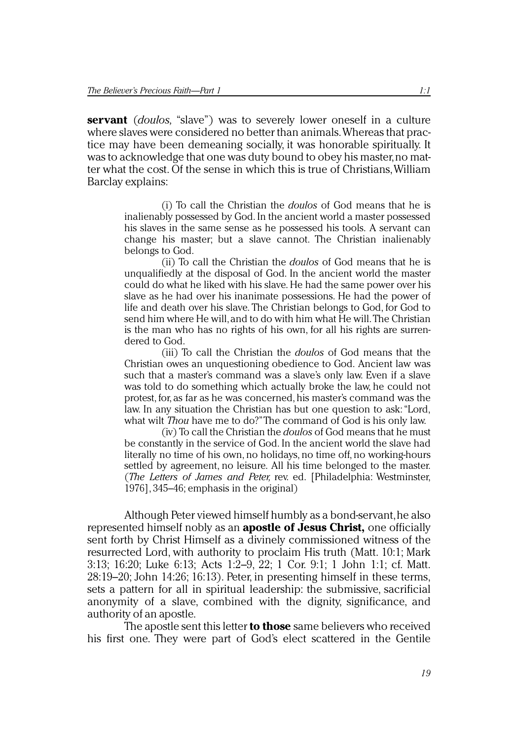**servant** (*doulos*, "slave") was to severely lower oneself in a culture where slaves were considered no better than animals.Whereas that practice may have been demeaning socially, it was honorable spiritually. It was to acknowledge that one was duty bound to obey his master,no matter what the cost. Of the sense in which this is true of Christians,William Barclay explains:

> (i) To call the Christian the *doulos* of God means that he is inalienably possessed by God. In the ancient world a master possessed his slaves in the same sense as he possessed his tools. A servant can change his master; but a slave cannot. The Christian inalienably belongs to God.

> (ii) To call the Christian the *doulos* of God means that he is unqualifiedly at the disposal of God. In the ancient world the master could do what he liked with his slave. He had the same power over his slave as he had over his inanimate possessions. He had the power of life and death over his slave. The Christian belongs to God, for God to send him where He will,and to do with him what He will.The Christian is the man who has no rights of his own, for all his rights are surrendered to God.

> (iii) To call the Christian the *doulos* of God means that the Christian owes an unquestioning obedience to God. Ancient law was such that a master's command was a slave's only law. Even if a slave was told to do something which actually broke the law, he could not protest, for, as far as he was concerned, his master's command was the law. In any situation the Christian has but one question to ask:"Lord, what wilt *Thou* have me to do?"The command of God is his only law.

> (iv) To call the Christian the *doulos* of God means that he must be constantly in the service of God. In the ancient world the slave had literally no time of his own, no holidays, no time off, no working-hours settled by agreement, no leisure. All his time belonged to the master. (*The Letters of James and Peter,* rev. ed. [Philadelphia: Westminster, 1976], 345–46; emphasis in the original)

Although Peter viewed himself humbly as a bond-servant,he also represented himself nobly as an **apostle of Jesus Christ,** one officially sent forth by Christ Himself as a divinely commissioned witness of the resurrected Lord, with authority to proclaim His truth (Matt. 10:1; Mark 3:13; 16:20; Luke 6:13; Acts 1:2–9, 22; 1 Cor. 9:1; 1 John 1:1; cf. Matt. 28:19–20; John 14:26; 16:13). Peter, in presenting himself in these terms, sets a pattern for all in spiritual leadership: the submissive, sacrificial anonymity of a slave, combined with the dignity, significance, and authority of an apostle.

The apostle sent this letter **to those** same believers who received his first one. They were part of God's elect scattered in the Gentile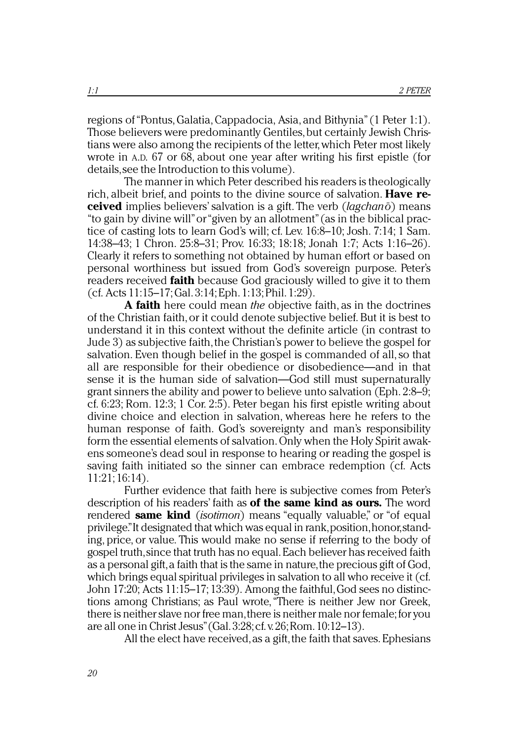regions of "Pontus, Galatia, Cappadocia, Asia, and Bithynia"(1 Peter 1:1). Those believers were predominantly Gentiles,but certainly Jewish Christians were also among the recipients of the letter,which Peter most likely wrote in A.D. 67 or 68, about one year after writing his first epistle (for details,see the Introduction to this volume).

The manner in which Peter described his readers is theologically rich, albeit brief, and points to the divine source of salvation. **Have received** implies believers' salvation is a gift. The verb *(lagchanō)* means "to gain by divine will"or "given by an allotment"(as in the biblical practice of casting lots to learn God's will; cf. Lev. 16:8–10; Josh. 7:14; 1 Sam. 14:38–43; 1 Chron. 25:8–31; Prov. 16:33; 18:18; Jonah 1:7; Acts 1:16–26). Clearly it refers to something not obtained by human effort or based on personal worthiness but issued from God's sovereign purpose. Peter's readers received **faith** because God graciously willed to give it to them (cf. Acts 11:15–17;Gal. 3:14;Eph. 1:13;Phil. 1:29).

**A faith** here could mean *the* objective faith, as in the doctrines of the Christian faith, or it could denote subjective belief. But it is best to understand it in this context without the definite article (in contrast to Jude 3) as subjective faith, the Christian's power to believe the gospel for salvation. Even though belief in the gospel is commanded of all, so that all are responsible for their obedience or disobedience—and in that sense it is the human side of salvation—God still must supernaturally grant sinners the ability and power to believe unto salvation (Eph. 2:8–9; cf. 6:23; Rom. 12:3; 1 Cor. 2:5). Peter began his first epistle writing about divine choice and election in salvation, whereas here he refers to the human response of faith. God's sovereignty and man's responsibility form the essential elements of salvation. Only when the Holy Spirit awakens someone's dead soul in response to hearing or reading the gospel is saving faith initiated so the sinner can embrace redemption (cf. Acts 11:21;16:14).

Further evidence that faith here is subjective comes from Peter's description of his readers' faith as **of the same kind as ours.** The word rendered **same kind** (*isotimon*) means "equally valuable," or "of equal privilege."It designated that which was equal in rank,position,honor,standing, price, or value. This would make no sense if referring to the body of gospel truth,since that truth has no equal. Each believer has received faith as a personal gift, a faith that is the same in nature, the precious gift of God, which brings equal spiritual privileges in salvation to all who receive it (cf. John 17:20; Acts 11:15–17; 13:39). Among the faithful,God sees no distinctions among Christians; as Paul wrote,"There is neither Jew nor Greek, there is neither slave nor free man,there is neither male nor female;for you are all one in Christ Jesus"(Gal.3:28;cf.v.26;Rom.10:12–13).

All the elect have received, as a gift, the faith that saves. Ephesians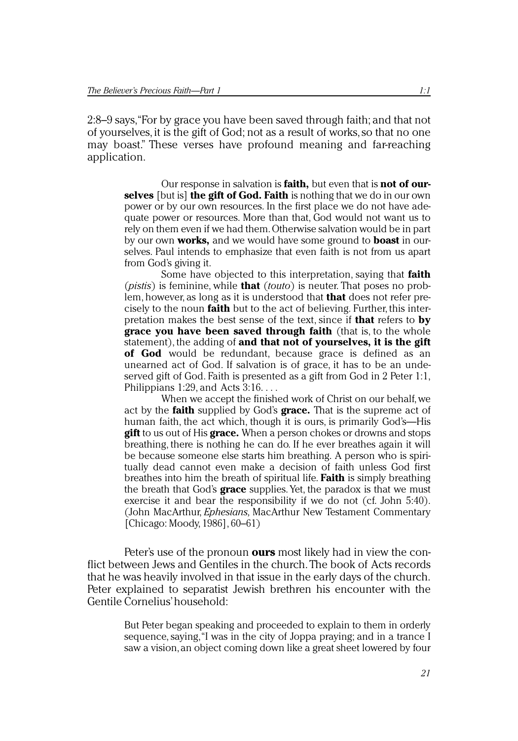2:8–9 says,"For by grace you have been saved through faith; and that not of yourselves, it is the gift of God; not as a result of works, so that no one may boast." These verses have profound meaning and far-reaching application.

> Our response in salvation is **faith,** but even that is **not of ourselves** [but is] **the gift of God. Faith** is nothing that we do in our own power or by our own resources. In the first place we do not have adequate power or resources. More than that, God would not want us to rely on them even if we had them. Otherwise salvation would be in part by our own **works,** and we would have some ground to **boast** in ourselves. Paul intends to emphasize that even faith is not from us apart from God's giving it.

> Some have objected to this interpretation, saying that **faith** (*pistis*) is feminine, while **that** (*touto*) is neuter. That poses no problem, however, as long as it is understood that **that** does not refer precisely to the noun **faith** but to the act of believing. Further, this interpretation makes the best sense of the text, since if **that** refers to **by grace you have been saved through faith** (that is, to the whole statement), the adding of **and that not of yourselves, it is the gift of God** would be redundant, because grace is defined as an unearned act of God. If salvation is of grace, it has to be an undeserved gift of God. Faith is presented as a gift from God in 2 Peter 1:1, Philippians 1:29, and Acts 3:16....

> When we accept the finished work of Christ on our behalf, we act by the **faith** supplied by God's **grace.** That is the supreme act of human faith, the act which, though it is ours, is primarily God's—His **gift** to us out of His **grace.** When a person chokes or drowns and stops breathing, there is nothing he can do. If he ever breathes again it will be because someone else starts him breathing. A person who is spiritually dead cannot even make a decision of faith unless God first breathes into him the breath of spiritual life. **Faith** is simply breathing the breath that God's **grace** supplies. Yet, the paradox is that we must exercise it and bear the responsibility if we do not (cf. John 5:40). (John MacArthur, *Ephesians,* MacArthur New Testament Commentary [Chicago: Moody, 1986], 60–61)

Peter's use of the pronoun **ours** most likely had in view the conflict between Jews and Gentiles in the church. The book of Acts records that he was heavily involved in that issue in the early days of the church. Peter explained to separatist Jewish brethren his encounter with the Gentile Cornelius'household:

> But Peter began speaking and proceeded to explain to them in orderly sequence, saying,"I was in the city of Joppa praying; and in a trance I saw a vision,an object coming down like a great sheet lowered by four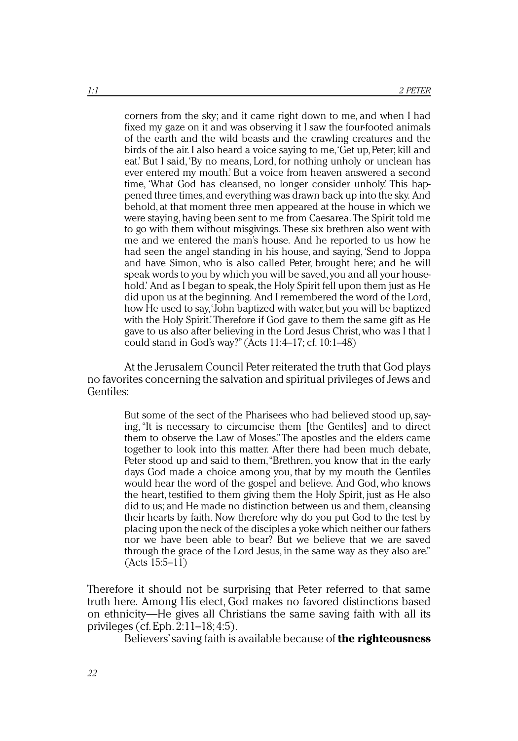corners from the sky; and it came right down to me, and when I had fixed my gaze on it and was observing it I saw the four-footed animals of the earth and the wild beasts and the crawling creatures and the birds of the air. I also heard a voice saying to me,'Get up, Peter; kill and eat.' But I said,'By no means, Lord, for nothing unholy or unclean has ever entered my mouth.' But a voice from heaven answered a second time, 'What God has cleansed, no longer consider unholy.' This happened three times,and everything was drawn back up into the sky. And behold, at that moment three men appeared at the house in which we were staying, having been sent to me from Caesarea. The Spirit told me to go with them without misgivings. These six brethren also went with me and we entered the man's house. And he reported to us how he had seen the angel standing in his house, and saying,'Send to Joppa and have Simon, who is also called Peter, brought here; and he will speak words to you by which you will be saved,you and all your household.' And as I began to speak, the Holy Spirit fell upon them just as He did upon us at the beginning. And I remembered the word of the Lord, how He used to say,'John baptized with water, but you will be baptized with the Holy Spirit.'Therefore if God gave to them the same gift as He gave to us also after believing in the Lord Jesus Christ, who was I that I could stand in God's way?" (Acts  $11:4-17$ ; cf.  $10:1-48$ )

At the Jerusalem Council Peter reiterated the truth that God plays no favorites concerning the salvation and spiritual privileges of Jews and Gentiles:

> But some of the sect of the Pharisees who had believed stood up, saying, "It is necessary to circumcise them [the Gentiles] and to direct them to observe the Law of Moses."The apostles and the elders came together to look into this matter. After there had been much debate, Peter stood up and said to them,"Brethren, you know that in the early days God made a choice among you, that by my mouth the Gentiles would hear the word of the gospel and believe. And God, who knows the heart, testified to them giving them the Holy Spirit, just as He also did to us; and He made no distinction between us and them,cleansing their hearts by faith. Now therefore why do you put God to the test by placing upon the neck of the disciples a yoke which neither our fathers nor we have been able to bear? But we believe that we are saved through the grace of the Lord Jesus, in the same way as they also are." (Acts 15:5–11)

Therefore it should not be surprising that Peter referred to that same truth here. Among His elect, God makes no favored distinctions based on ethnicity—He gives all Christians the same saving faith with all its privileges (cf. Eph. 2:11–18;4:5).

Believers'saving faith is available because of **the righteousness**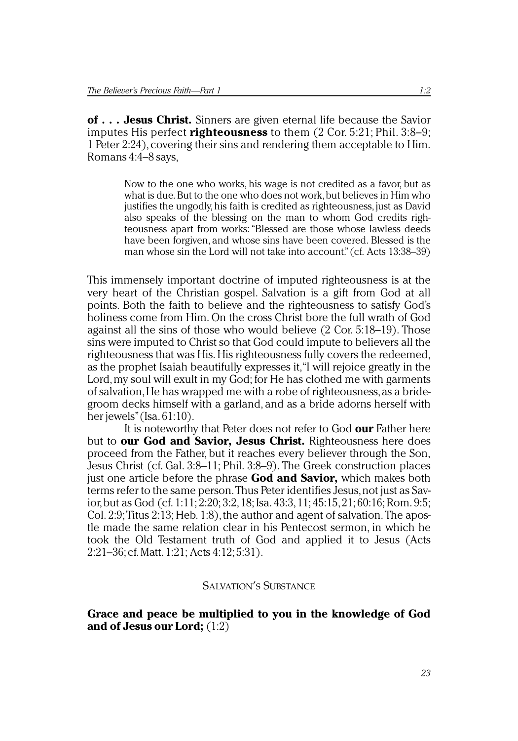**of . . . Jesus Christ.** Sinners are given eternal life because the Savior imputes His perfect **righteousness** to them (2 Cor. 5:21; Phil. 3:8–9; 1 Peter 2:24), covering their sins and rendering them acceptable to Him. Romans 4:4–8 says,

> Now to the one who works, his wage is not credited as a favor, but as what is due. But to the one who does not work, but believes in Him who justifies the ungodly, his faith is credited as righteousness, just as David also speaks of the blessing on the man to whom God credits righteousness apart from works: "Blessed are those whose lawless deeds have been forgiven, and whose sins have been covered. Blessed is the man whose sin the Lord will not take into account."(cf. Acts 13:38–39)

This immensely important doctrine of imputed righteousness is at the very heart of the Christian gospel. Salvation is a gift from God at all points. Both the faith to believe and the righteousness to satisfy God's holiness come from Him. On the cross Christ bore the full wrath of God against all the sins of those who would believe (2 Cor. 5:18–19). Those sins were imputed to Christ so that God could impute to believers all the righteousness that was His. His righteousness fully covers the redeemed, as the prophet Isaiah beautifully expresses it,"I will rejoice greatly in the Lord,my soul will exult in my God; for He has clothed me with garments of salvation,He has wrapped me with a robe of righteousness,as a bridegroom decks himself with a garland, and as a bride adorns herself with her jewels" (Isa. 61:10).

It is noteworthy that Peter does not refer to God **our** Father here but to **our God and Savior, Jesus Christ.** Righteousness here does proceed from the Father, but it reaches every believer through the Son, Jesus Christ (cf. Gal. 3:8–11; Phil. 3:8–9). The Greek construction places just one article before the phrase **God and Savior,** which makes both terms refer to the same person.Thus Peter identifies Jesus,not just as Savior,but as God (cf. 1:11; 2:20; 3:2,18; Isa. 43:3,11; 45:15,21; 60:16; Rom. 9:5; Col. 2:9; Titus 2:13; Heb. 1:8), the author and agent of salvation. The apostle made the same relation clear in his Pentecost sermon, in which he took the Old Testament truth of God and applied it to Jesus (Acts 2:21–36;cf. Matt. 1:21; Acts 4:12;5:31).

#### SALVATION'S SUBSTANCE

#### **Grace and peace be multiplied to you in the knowledge of God and of Jesus our Lord;** (1:2)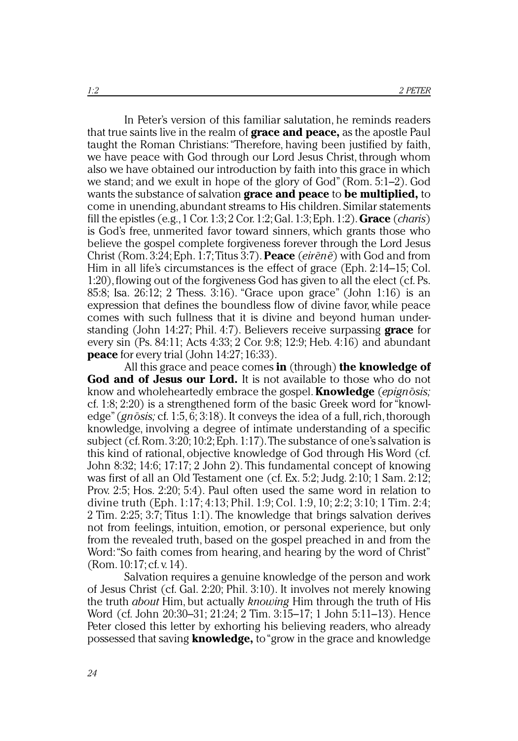In Peter's version of this familiar salutation, he reminds readers that true saints live in the realm of **grace and peace,** as the apostle Paul taught the Roman Christians:"Therefore, having been justified by faith, we have peace with God through our Lord Jesus Christ, through whom also we have obtained our introduction by faith into this grace in which we stand; and we exult in hope of the glory of God" (Rom. 5:1–2). God wants the substance of salvation **grace and peace** to **be multiplied,** to come in unending,abundant streams to His children. Similar statements fill the epistles (e.g.,1 Cor. 1:3; 2 Cor. 1:2; Gal. 1:3; Eph. 1:2).**Grace** (*charis*) is God's free, unmerited favor toward sinners, which grants those who believe the gospel complete forgiveness forever through the Lord Jesus Christ (Rom. 3:24; Eph. 1:7;Titus 3:7).**Peace** (*eir¯en¯e*) with God and from Him in all life's circumstances is the effect of grace (Eph. 2:14–15; Col. 1:20), flowing out of the forgiveness God has given to all the elect (cf. Ps. 85:8; Isa. 26:12; 2 Thess. 3:16). "Grace upon grace" (John 1:16) is an expression that defines the boundless flow of divine favor, while peace comes with such fullness that it is divine and beyond human understanding (John 14:27; Phil. 4:7). Believers receive surpassing **grace** for every sin (Ps. 84:11; Acts 4:33; 2 Cor. 9:8; 12:9; Heb. 4:16) and abundant **peace** for every trial (John 14:27; 16:33).

All this grace and peace comes **in** (through) **the knowledge of God and of Jesus our Lord.** It is not available to those who do not know and wholeheartedly embrace the gospel. **Knowledge** (*epignosis*; cf. 1:8; 2:20) is a strengthened form of the basic Greek word for "knowledge" (*gnōsis*; cf. 1:5, 6; 3:18). It conveys the idea of a full, rich, thorough knowledge, involving a degree of intimate understanding of a specific subject (cf. Rom. 3:20; 10:2; Eph. 1:17).The substance of one's salvation is this kind of rational, objective knowledge of God through His Word (cf. John 8:32; 14:6; 17:17; 2 John 2). This fundamental concept of knowing was first of all an Old Testament one (cf. Ex. 5:2; Judg. 2:10; 1 Sam. 2:12; Prov. 2:5; Hos. 2:20; 5:4). Paul often used the same word in relation to divine truth (Eph. 1:17; 4:13; Phil. 1:9; Col. 1:9, 10; 2:2; 3:10; 1 Tim. 2:4; 2 Tim. 2:25; 3:7; Titus 1:1). The knowledge that brings salvation derives not from feelings, intuition, emotion, or personal experience, but only from the revealed truth, based on the gospel preached in and from the Word:"So faith comes from hearing, and hearing by the word of Christ" (Rom. 10:17;cf. v. 14).

Salvation requires a genuine knowledge of the person and work of Jesus Christ (cf. Gal. 2:20; Phil. 3:10). It involves not merely knowing the truth *about* Him, but actually *knowing* Him through the truth of His Word (cf. John 20:30–31; 21:24; 2 Tim. 3:15–17; 1 John 5:11–13). Hence Peter closed this letter by exhorting his believing readers, who already possessed that saving **knowledge,** to "grow in the grace and knowledge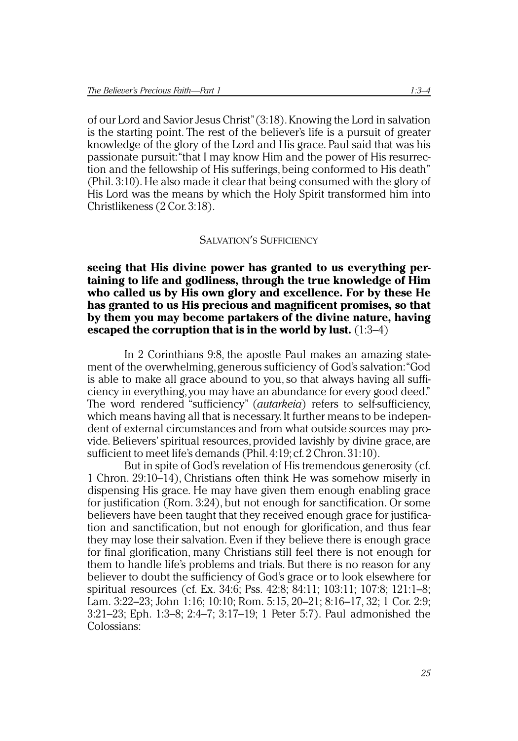of our Lord and Savior Jesus Christ"(3:18). Knowing the Lord in salvation is the starting point. The rest of the believer's life is a pursuit of greater knowledge of the glory of the Lord and His grace. Paul said that was his passionate pursuit:"that I may know Him and the power of His resurrection and the fellowship of His sufferings, being conformed to His death" (Phil. 3:10). He also made it clear that being consumed with the glory of His Lord was the means by which the Holy Spirit transformed him into Christlikeness (2 Cor. 3:18).

#### SALVATION'S SUFFICIENCY

**seeing that His divine power has granted to us everything pertaining to life and godliness, through the true knowledge of Him who called us by His own glory and excellence. For by these He has granted to us His precious and magnificent promises, so that by them you may become partakers of the divine nature, having escaped the corruption that is in the world by lust.** (1:3–4)

In 2 Corinthians 9:8, the apostle Paul makes an amazing statement of the overwhelming,generous sufficiency of God's salvation:"God is able to make all grace abound to you, so that always having all sufficiency in everything,you may have an abundance for every good deed." The word rendered "sufficiency" (*autarkeia*) refers to self-sufficiency, which means having all that is necessary. It further means to be independent of external circumstances and from what outside sources may provide. Believers' spiritual resources, provided lavishly by divine grace, are sufficient to meet life's demands (Phil. 4:19; cf. 2 Chron. 31:10).

But in spite of God's revelation of His tremendous generosity (cf. 1 Chron. 29:10–14), Christians often think He was somehow miserly in dispensing His grace. He may have given them enough enabling grace for justification (Rom. 3:24), but not enough for sanctification. Or some believers have been taught that they received enough grace for justification and sanctification, but not enough for glorification, and thus fear they may lose their salvation. Even if they believe there is enough grace for final glorification, many Christians still feel there is not enough for them to handle life's problems and trials. But there is no reason for any believer to doubt the sufficiency of God's grace or to look elsewhere for spiritual resources (cf. Ex. 34:6; Pss. 42:8; 84:11; 103:11; 107:8; 121:1–8; Lam. 3:22–23; John 1:16; 10:10; Rom. 5:15, 20–21; 8:16–17, 32; 1 Cor. 2:9; 3:21–23; Eph. 1:3–8; 2:4–7; 3:17–19; 1 Peter 5:7). Paul admonished the Colossians: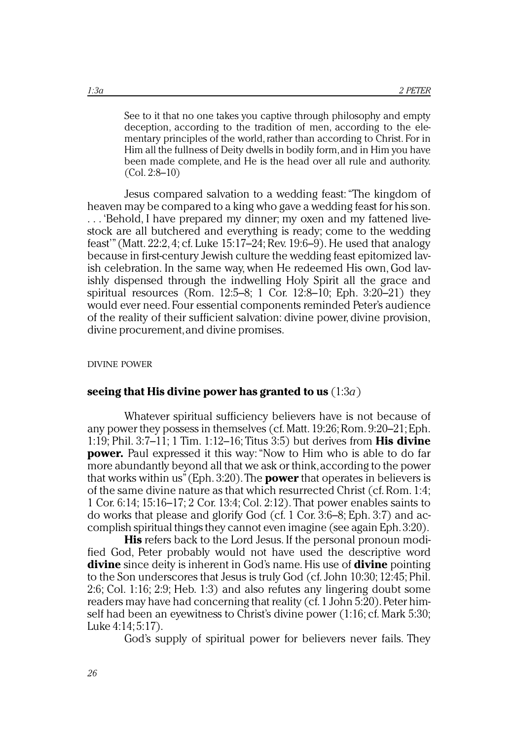See to it that no one takes you captive through philosophy and empty deception, according to the tradition of men, according to the elementary principles of the world, rather than according to Christ. For in Him all the fullness of Deity dwells in bodily form,and in Him you have been made complete, and He is the head over all rule and authority. (Col. 2:8–10)

Jesus compared salvation to a wedding feast:"The kingdom of heaven may be compared to a king who gave a wedding feast for his son. . . . 'Behold, I have prepared my dinner; my oxen and my fattened livestock are all butchered and everything is ready; come to the wedding feast'"(Matt. 22:2, 4; cf. Luke 15:17–24; Rev. 19:6–9). He used that analogy because in first-century Jewish culture the wedding feast epitomized lavish celebration. In the same way, when He redeemed His own, God lavishly dispensed through the indwelling Holy Spirit all the grace and spiritual resources (Rom. 12:5–8; 1 Cor. 12:8–10; Eph. 3:20–21) they would ever need. Four essential components reminded Peter's audience of the reality of their sufficient salvation: divine power, divine provision, divine procurement,and divine promises.

#### DIVINE POWER

#### **seeing that His divine power has granted to us** (1:3*a*)

Whatever spiritual sufficiency believers have is not because of any power they possess in themselves (cf. Matt. 19:26; Rom. 9:20–21; Eph. 1:19; Phil. 3:7–11; 1 Tim. 1:12–16; Titus 3:5) but derives from **His divine power.** Paul expressed it this way: "Now to Him who is able to do far more abundantly beyond all that we ask or think,according to the power that works within us"(Eph. 3:20).The **power** that operates in believers is of the same divine nature as that which resurrected Christ (cf. Rom. 1:4; 1 Cor. 6:14; 15:16–17; 2 Cor. 13:4; Col. 2:12). That power enables saints to do works that please and glorify God (cf. 1 Cor. 3:6–8; Eph. 3:7) and accomplish spiritual things they cannot even imagine (see again Eph.3:20).

**His** refers back to the Lord Jesus. If the personal pronoun modified God, Peter probably would not have used the descriptive word **divine** since deity is inherent in God's name. His use of **divine** pointing to the Son underscores that Jesus is truly God (cf. John 10:30; 12:45; Phil. 2:6; Col. 1:16; 2:9; Heb. 1:3) and also refutes any lingering doubt some readers may have had concerning that reality (cf. 1 John 5:20). Peter himself had been an eyewitness to Christ's divine power (1:16; cf. Mark 5:30; Luke 4:14;5:17).

God's supply of spiritual power for believers never fails. They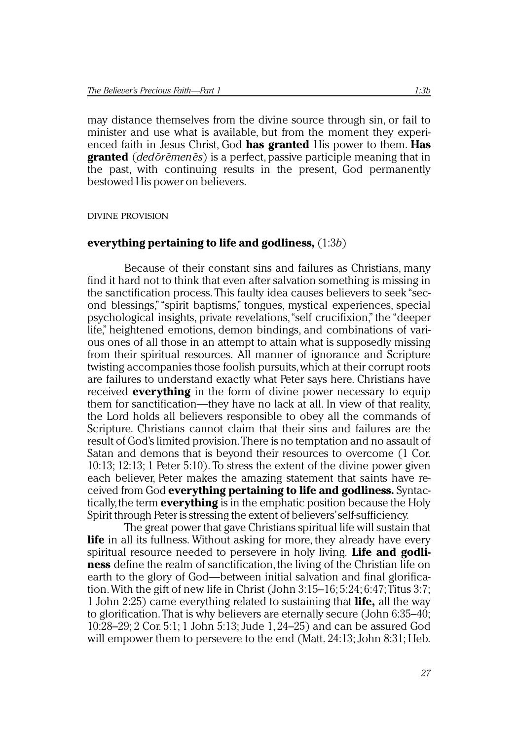may distance themselves from the divine source through sin, or fail to minister and use what is available, but from the moment they experienced faith in Jesus Christ, God **has granted** His power to them. **Has granted** (*ded* or *emen* es) is a perfect, passive participle meaning that in the past, with continuing results in the present, God permanently bestowed His power on believers.

#### DIVINE PROVISION

#### **everything pertaining to life and godliness,** (1:3*b*)

Because of their constant sins and failures as Christians, many find it hard not to think that even after salvation something is missing in the sanctification process. This faulty idea causes believers to seek "second blessings,""spirit baptisms," tongues, mystical experiences, special psychological insights, private revelations,"self crucifixion," the "deeper life," heightened emotions, demon bindings, and combinations of various ones of all those in an attempt to attain what is supposedly missing from their spiritual resources. All manner of ignorance and Scripture twisting accompanies those foolish pursuits,which at their corrupt roots are failures to understand exactly what Peter says here. Christians have received **everything** in the form of divine power necessary to equip them for sanctification—they have no lack at all. In view of that reality, the Lord holds all believers responsible to obey all the commands of Scripture. Christians cannot claim that their sins and failures are the result of God's limited provision.There is no temptation and no assault of Satan and demons that is beyond their resources to overcome (1 Cor. 10:13; 12:13; 1 Peter 5:10). To stress the extent of the divine power given each believer, Peter makes the amazing statement that saints have received from God **everything pertaining to life and godliness.** Syntactically,the term **everything** is in the emphatic position because the Holy Spirit through Peter is stressing the extent of believers'self-sufficiency.

The great power that gave Christians spiritual life will sustain that **life** in all its fullness. Without asking for more, they already have every spiritual resource needed to persevere in holy living. **Life and godliness** define the realm of sanctification, the living of the Christian life on earth to the glory of God—between initial salvation and final glorification.With the gift of new life in Christ (John 3:15–16; 5:24; 6:47;Titus 3:7; 1 John 2:25) came everything related to sustaining that **life,** all the way to glorification. That is why believers are eternally secure (John 6:35–40; 10:28–29; 2 Cor. 5:1; 1 John 5:13; Jude 1, 24–25) and can be assured God will empower them to persevere to the end (Matt. 24:13; John 8:31; Heb.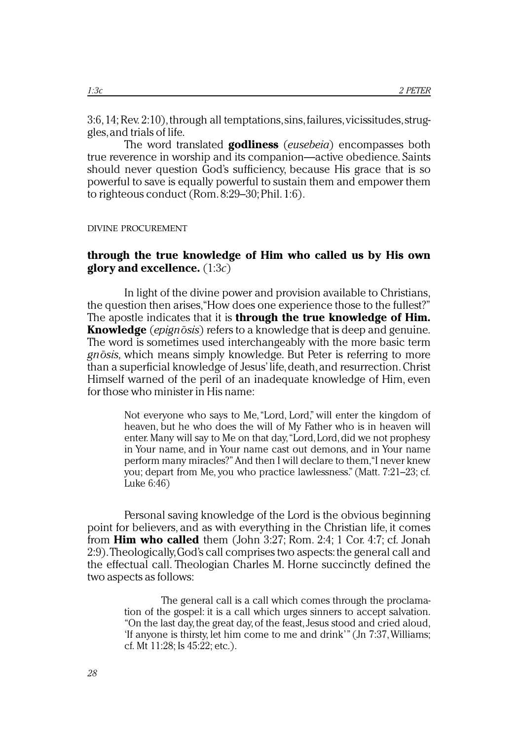3:6, 14; Rev. 2:10), through all temptations, sins, failures, vicissitudes, struggles,and trials of life.

The word translated **godliness** (*eusebeia*) encompasses both true reverence in worship and its companion—active obedience. Saints should never question God's sufficiency, because His grace that is so powerful to save is equally powerful to sustain them and empower them to righteous conduct (Rom. 8:29–30;Phil. 1:6).

DIVINE PROCUREMENT

#### **through the true knowledge of Him who called us by His own glory and excellence.** (1:3*c*)

In light of the divine power and provision available to Christians, the question then arises,"How does one experience those to the fullest?" The apostle indicates that it is **through the true knowledge of Him. Knowledge** (*epignōsis*) refers to a knowledge that is deep and genuine. The word is sometimes used interchangeably with the more basic term gnōsis, which means simply knowledge. But Peter is referring to more than a superficial knowledge of Jesus'life,death,and resurrection. Christ Himself warned of the peril of an inadequate knowledge of Him, even for those who minister in His name:

> Not everyone who says to Me,"Lord, Lord," will enter the kingdom of heaven, but he who does the will of My Father who is in heaven will enter. Many will say to Me on that day,"Lord, Lord, did we not prophesy in Your name, and in Your name cast out demons, and in Your name perform many miracles?" And then I will declare to them,"I never knew you; depart from Me, you who practice lawlessness." (Matt. 7:21–23; cf. Luke 6:46)

Personal saving knowledge of the Lord is the obvious beginning point for believers, and as with everything in the Christian life, it comes from **Him who called** them (John 3:27; Rom. 2:4; 1 Cor. 4:7; cf. Jonah 2:9).Theologically,God's call comprises two aspects:the general call and the effectual call. Theologian Charles M. Horne succinctly defined the two aspects as follows:

> The general call is a call which comes through the proclamation of the gospel: it is a call which urges sinners to accept salvation. "On the last day, the great day, of the feast, Jesus stood and cried aloud, 'If anyone is thirsty, let him come to me and drink'" (Jn 7:37,Williams; cf. Mt 11:28; Is 45:22; etc.).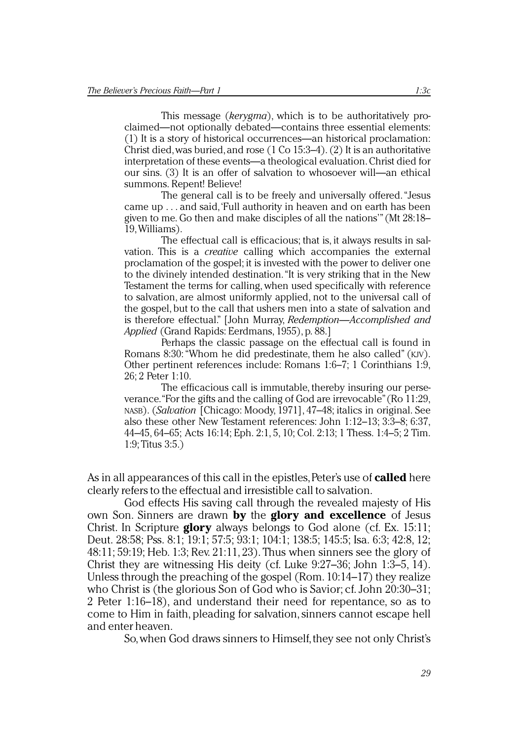This message (*kerygma*), which is to be authoritatively proclaimed—not optionally debated—contains three essential elements: (1) It is a story of historical occurrences—an historical proclamation: Christ died,was buried,and rose (1 Co 15:3–4). (2) It is an authoritative interpretation of these events—a theological evaluation. Christ died for our sins. (3) It is an offer of salvation to whosoever will—an ethical summons. Repent! Believe!

The general call is to be freely and universally offered."Jesus came up . . . and said,'Full authority in heaven and on earth has been given to me. Go then and make disciples of all the nations'"(Mt 28:18– 19,Williams).

The effectual call is efficacious; that is, it always results in salvation. This is a *creative* calling which accompanies the external proclamation of the gospel; it is invested with the power to deliver one to the divinely intended destination."It is very striking that in the New Testament the terms for calling, when used specifically with reference to salvation, are almost uniformly applied, not to the universal call of the gospel, but to the call that ushers men into a state of salvation and is therefore effectual." [John Murray, *Redemption—Accomplished and Applied* (Grand Rapids: Eerdmans, 1955), p. 88.]

Perhaps the classic passage on the effectual call is found in Romans 8:30: "Whom he did predestinate, them he also called" (KJV). Other pertinent references include: Romans 1:6–7; 1 Corinthians 1:9, 26; 2 Peter 1:10.

The efficacious call is immutable, thereby insuring our perseverance."For the gifts and the calling of God are irrevocable"(Ro 11:29, NASB). (*Salvation* [Chicago: Moody, 1971], 47–48; italics in original. See also these other New Testament references: John 1:12–13; 3:3–8; 6:37, 44–45, 64–65; Acts 16:14; Eph. 2:1, 5, 10; Col. 2:13; 1 Thess. 1:4–5; 2 Tim. 1:9; Titus 3:5.)

As in all appearances of this call in the epistles, Peter's use of **called** here clearly refers to the effectual and irresistible call to salvation.

God effects His saving call through the revealed majesty of His own Son. Sinners are drawn **by** the **glory and excellence** of Jesus Christ. In Scripture **glory** always belongs to God alone (cf. Ex. 15:11; Deut. 28:58; Pss. 8:1; 19:1; 57:5; 93:1; 104:1; 138:5; 145:5; Isa. 6:3; 42:8, 12; 48:11; 59:19; Heb. 1:3; Rev. 21:11, 23). Thus when sinners see the glory of Christ they are witnessing His deity (cf. Luke 9:27–36; John 1:3–5, 14). Unless through the preaching of the gospel (Rom. 10:14–17) they realize who Christ is (the glorious Son of God who is Savior; cf. John 20:30–31; 2 Peter 1:16–18), and understand their need for repentance, so as to come to Him in faith, pleading for salvation, sinners cannot escape hell and enter heaven.

So, when God draws sinners to Himself, they see not only Christ's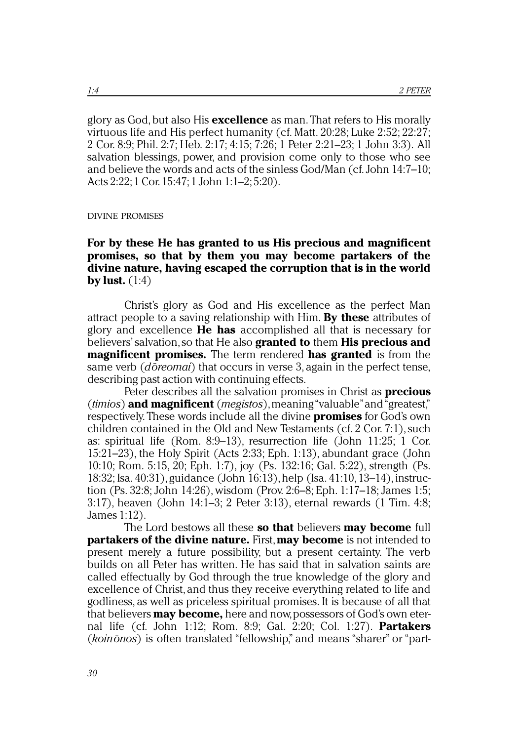glory as God, but also His **excellence** as man. That refers to His morally virtuous life and His perfect humanity (cf. Matt. 20:28; Luke 2:52; 22:27; 2 Cor. 8:9; Phil. 2:7; Heb. 2:17; 4:15; 7:26; 1 Peter 2:21–23; 1 John 3:3). All salvation blessings, power, and provision come only to those who see and believe the words and acts of the sinless God/Man (cf. John 14:7–10; Acts 2:22;1 Cor. 15:47;1 John 1:1–2;5:20).

DIVINE PROMISES

#### **For by these He has granted to us His precious and magnificent promises, so that by them you may become partakers of the divine nature, having escaped the corruption that is in the world by lust.** (1:4)

Christ's glory as God and His excellence as the perfect Man attract people to a saving relationship with Him. **By these** attributes of glory and excellence **He has** accomplished all that is necessary for believers' salvation, so that He also **granted to** them **His precious and magnificent promises.** The term rendered **has granted** is from the same verb (*dōreomai*) that occurs in verse 3, again in the perfect tense, describing past action with continuing effects.

Peter describes all the salvation promises in Christ as **precious** (*timios*) **and magnificent** (*megistos*),meaning "valuable"and "greatest," respectively. These words include all the divine **promises** for God's own children contained in the Old and New Testaments (cf. 2 Cor. 7:1), such as: spiritual life (Rom. 8:9–13), resurrection life (John 11:25; 1 Cor. 15:21–23), the Holy Spirit (Acts 2:33; Eph. 1:13), abundant grace (John 10:10; Rom. 5:15, 20; Eph. 1:7), joy (Ps. 132:16; Gal. 5:22), strength (Ps. 18:32; Isa. 40:31), guidance (John 16:13), help (Isa. 41:10, 13–14), instruction (Ps. 32:8; John 14:26), wisdom (Prov. 2:6–8; Eph. 1:17–18; James 1:5; 3:17), heaven (John 14:1–3; 2 Peter 3:13), eternal rewards (1 Tim. 4:8; James 1:12).

The Lord bestows all these **so that** believers **may become** full **partakers of the divine nature.** First, **may become** is not intended to present merely a future possibility, but a present certainty. The verb builds on all Peter has written. He has said that in salvation saints are called effectually by God through the true knowledge of the glory and excellence of Christ, and thus they receive everything related to life and godliness, as well as priceless spiritual promises. It is because of all that that believers **may become,** here and now,possessors of God's own eternal life (cf. John 1:12; Rom. 8:9; Gal. 2:20; Col. 1:27). **Partakers** (*koin¯onos*) is often translated "fellowship," and means "sharer" or "part